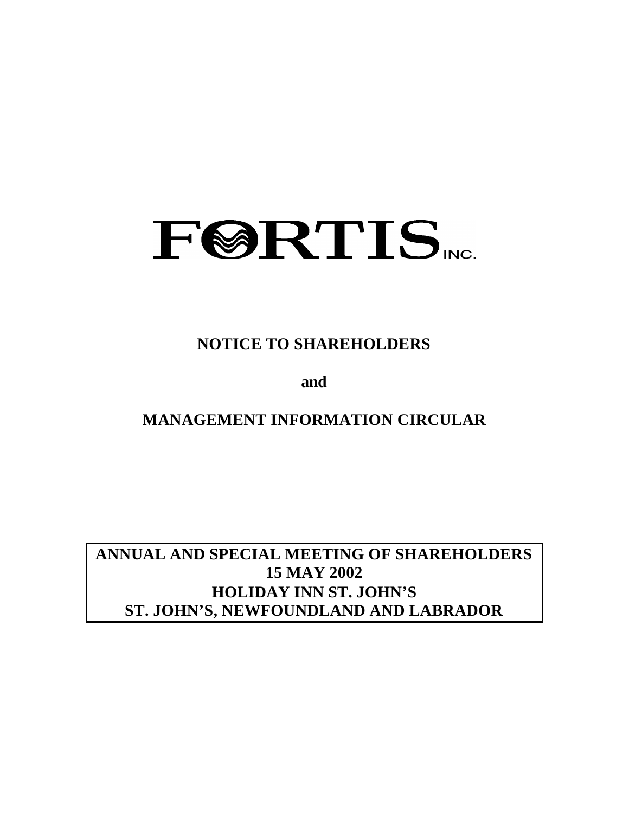

**NOTICE TO SHAREHOLDERS**

**and**

**MANAGEMENT INFORMATION CIRCULAR**

**ANNUAL AND SPECIAL MEETING OF SHAREHOLDERS 15 MAY 2002 HOLIDAY INN ST. JOHN'S ST. JOHN'S, NEWFOUNDLAND AND LABRADOR**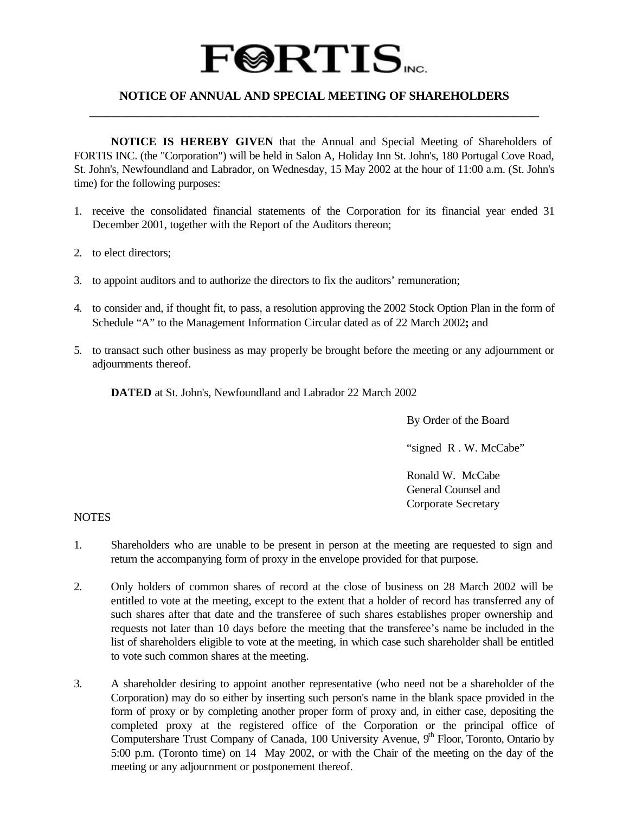# $\textbf{F@RTIS}_{\text{vec}}$

## **NOTICE OF ANNUAL AND SPECIAL MEETING OF SHAREHOLDERS \_\_\_\_\_\_\_\_\_\_\_\_\_\_\_\_\_\_\_\_\_\_\_\_\_\_\_\_\_\_\_\_\_\_\_\_\_\_\_\_\_\_\_\_\_\_\_\_\_\_\_\_\_\_\_\_\_\_\_\_\_\_\_\_\_\_\_\_\_\_\_\_\_**

**NOTICE IS HEREBY GIVEN** that the Annual and Special Meeting of Shareholders of FORTIS INC. (the "Corporation") will be held in Salon A, Holiday Inn St. John's, 180 Portugal Cove Road, St. John's, Newfoundland and Labrador, on Wednesday, 15 May 2002 at the hour of 11:00 a.m. (St. John's time) for the following purposes:

- 1. receive the consolidated financial statements of the Corporation for its financial year ended 31 December 2001, together with the Report of the Auditors thereon;
- 2. to elect directors;
- 3. to appoint auditors and to authorize the directors to fix the auditors' remuneration;
- 4. to consider and, if thought fit, to pass, a resolution approving the 2002 Stock Option Plan in the form of Schedule "A" to the Management Information Circular dated as of 22 March 2002**;** and
- 5. to transact such other business as may properly be brought before the meeting or any adjournment or adjournments thereof.

**DATED** at St. John's, Newfoundland and Labrador 22 March 2002

By Order of the Board

"signed R.W. McCabe"

Ronald W. McCabe General Counsel and Corporate Secretary

### **NOTES**

- 1. Shareholders who are unable to be present in person at the meeting are requested to sign and return the accompanying form of proxy in the envelope provided for that purpose.
- 2. Only holders of common shares of record at the close of business on 28 March 2002 will be entitled to vote at the meeting, except to the extent that a holder of record has transferred any of such shares after that date and the transferee of such shares establishes proper ownership and requests not later than 10 days before the meeting that the transferee's name be included in the list of shareholders eligible to vote at the meeting, in which case such shareholder shall be entitled to vote such common shares at the meeting.
- 3. A shareholder desiring to appoint another representative (who need not be a shareholder of the Corporation) may do so either by inserting such person's name in the blank space provided in the form of proxy or by completing another proper form of proxy and, in either case, depositing the completed proxy at the registered office of the Corporation or the principal office of Computershare Trust Company of Canada, 100 University Avenue, 9<sup>th</sup> Floor, Toronto, Ontario by 5:00 p.m. (Toronto time) on 14 May 2002, or with the Chair of the meeting on the day of the meeting or any adjournment or postponement thereof.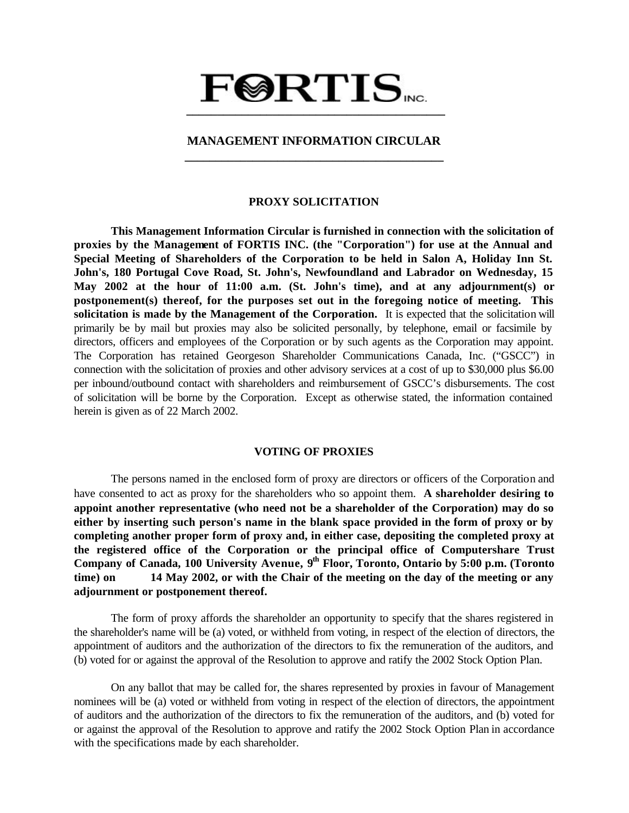## $\textbf{F@RTIS}_{\text{vec}}$  **\_\_\_\_\_\_\_\_\_\_\_\_\_\_\_\_\_\_\_\_\_\_\_\_\_\_\_\_\_\_\_\_\_\_\_\_\_\_\_\_\_\_**

## **MANAGEMENT INFORMATION CIRCULAR \_\_\_\_\_\_\_\_\_\_\_\_\_\_\_\_\_\_\_\_\_\_\_\_\_\_\_\_\_\_\_\_\_\_\_\_\_\_\_\_\_\_**

#### **PROXY SOLICITATION**

**This Management Information Circular is furnished in connection with the solicitation of proxies by the Management of FORTIS INC. (the "Corporation") for use at the Annual and Special Meeting of Shareholders of the Corporation to be held in Salon A, Holiday Inn St. John's, 180 Portugal Cove Road, St. John's, Newfoundland and Labrador on Wednesday, 15 May 2002 at the hour of 11:00 a.m. (St. John's time), and at any adjournment(s) or postponement(s) thereof, for the purposes set out in the foregoing notice of meeting. This solicitation is made by the Management of the Corporation.** It is expected that the solicitation will primarily be by mail but proxies may also be solicited personally, by telephone, email or facsimile by directors, officers and employees of the Corporation or by such agents as the Corporation may appoint. The Corporation has retained Georgeson Shareholder Communications Canada, Inc. ("GSCC") in connection with the solicitation of proxies and other advisory services at a cost of up to \$30,000 plus \$6.00 per inbound/outbound contact with shareholders and reimbursement of GSCC's disbursements. The cost of solicitation will be borne by the Corporation. Except as otherwise stated, the information contained herein is given as of 22 March 2002.

#### **VOTING OF PROXIES**

The persons named in the enclosed form of proxy are directors or officers of the Corporation and have consented to act as proxy for the shareholders who so appoint them. **A shareholder desiring to appoint another representative (who need not be a shareholder of the Corporation) may do so either by inserting such person's name in the blank space provided in the form of proxy or by completing another proper form of proxy and, in either case, depositing the completed proxy at the registered office of the Corporation or the principal office of Computershare Trust** Company of Canada, 100 University Avenue, 9<sup>th</sup> Floor, Toronto, Ontario by 5:00 p.m. (Toronto **time) on 14 May 2002, or with the Chair of the meeting on the day of the meeting or any adjournment or postponement thereof.**

The form of proxy affords the shareholder an opportunity to specify that the shares registered in the shareholder's name will be (a) voted, or withheld from voting, in respect of the election of directors, the appointment of auditors and the authorization of the directors to fix the remuneration of the auditors, and (b) voted for or against the approval of the Resolution to approve and ratify the 2002 Stock Option Plan.

On any ballot that may be called for, the shares represented by proxies in favour of Management nominees will be (a) voted or withheld from voting in respect of the election of directors, the appointment of auditors and the authorization of the directors to fix the remuneration of the auditors, and (b) voted for or against the approval of the Resolution to approve and ratify the 2002 Stock Option Plan in accordance with the specifications made by each shareholder.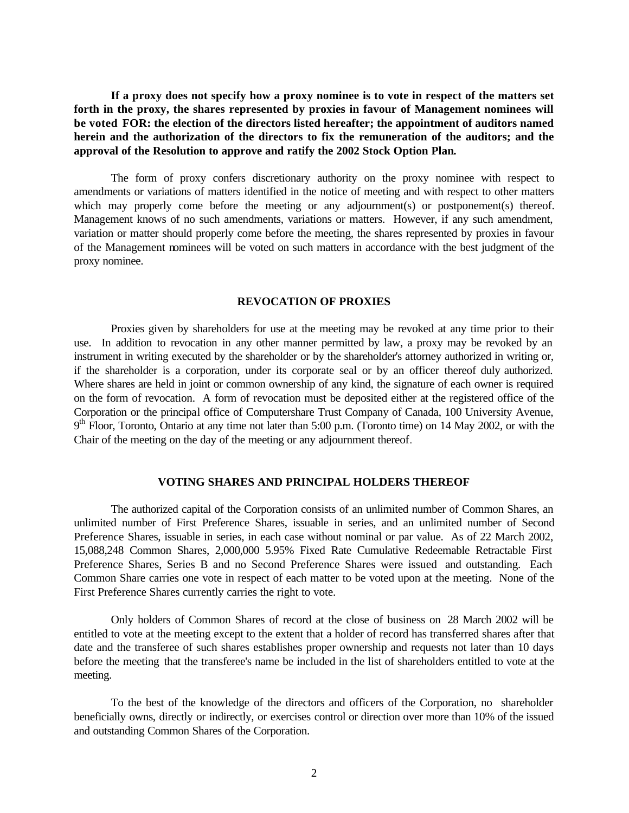**If a proxy does not specify how a proxy nominee is to vote in respect of the matters set forth in the proxy, the shares represented by proxies in favour of Management nominees will be voted FOR: the election of the directors listed hereafter; the appointment of auditors named herein and the authorization of the directors to fix the remuneration of the auditors; and the approval of the Resolution to approve and ratify the 2002 Stock Option Plan.**

The form of proxy confers discretionary authority on the proxy nominee with respect to amendments or variations of matters identified in the notice of meeting and with respect to other matters which may properly come before the meeting or any adjournment(s) or postponement(s) thereof. Management knows of no such amendments, variations or matters. However, if any such amendment, variation or matter should properly come before the meeting, the shares represented by proxies in favour of the Management nominees will be voted on such matters in accordance with the best judgment of the proxy nominee.

#### **REVOCATION OF PROXIES**

Proxies given by shareholders for use at the meeting may be revoked at any time prior to their use. In addition to revocation in any other manner permitted by law, a proxy may be revoked by an instrument in writing executed by the shareholder or by the shareholder's attorney authorized in writing or, if the shareholder is a corporation, under its corporate seal or by an officer thereof duly authorized. Where shares are held in joint or common ownership of any kind, the signature of each owner is required on the form of revocation. A form of revocation must be deposited either at the registered office of the Corporation or the principal office of Computershare Trust Company of Canada, 100 University Avenue, 9<sup>th</sup> Floor, Toronto, Ontario at any time not later than 5:00 p.m. (Toronto time) on 14 May 2002, or with the Chair of the meeting on the day of the meeting or any adjournment thereof.

#### **VOTING SHARES AND PRINCIPAL HOLDERS THEREOF**

The authorized capital of the Corporation consists of an unlimited number of Common Shares, an unlimited number of First Preference Shares, issuable in series, and an unlimited number of Second Preference Shares, issuable in series, in each case without nominal or par value. As of 22 March 2002, 15,088,248 Common Shares, 2,000,000 5.95% Fixed Rate Cumulative Redeemable Retractable First Preference Shares, Series B and no Second Preference Shares were issued and outstanding. Each Common Share carries one vote in respect of each matter to be voted upon at the meeting. None of the First Preference Shares currently carries the right to vote.

Only holders of Common Shares of record at the close of business on 28 March 2002 will be entitled to vote at the meeting except to the extent that a holder of record has transferred shares after that date and the transferee of such shares establishes proper ownership and requests not later than 10 days before the meeting that the transferee's name be included in the list of shareholders entitled to vote at the meeting.

To the best of the knowledge of the directors and officers of the Corporation, no shareholder beneficially owns, directly or indirectly, or exercises control or direction over more than 10% of the issued and outstanding Common Shares of the Corporation.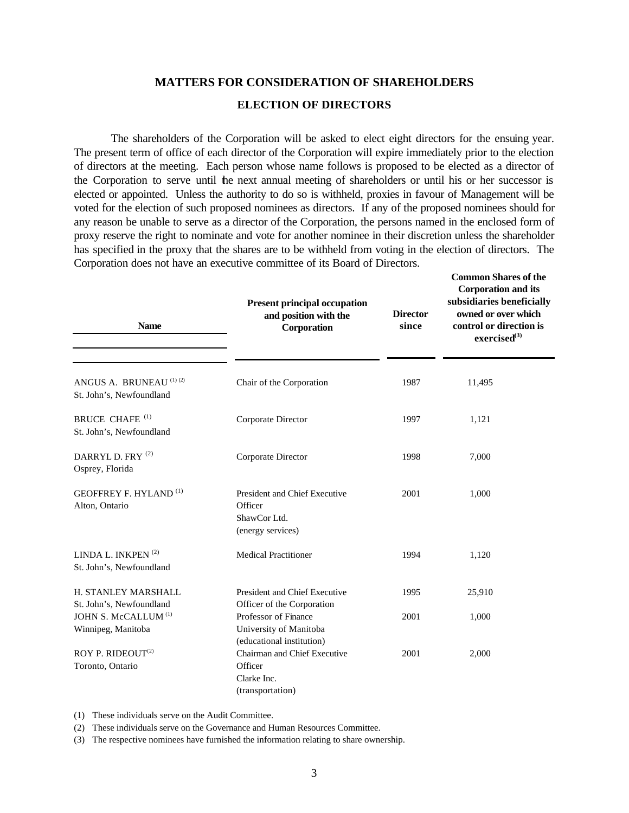## **MATTERS FOR CONSIDERATION OF SHAREHOLDERS ELECTION OF DIRECTORS**

The shareholders of the Corporation will be asked to elect eight directors for the ensuing year. The present term of office of each director of the Corporation will expire immediately prior to the election of directors at the meeting. Each person whose name follows is proposed to be elected as a director of the Corporation to serve until the next annual meeting of shareholders or until his or her successor is elected or appointed. Unless the authority to do so is withheld, proxies in favour of Management will be voted for the election of such proposed nominees as directors. If any of the proposed nominees should for any reason be unable to serve as a director of the Corporation, the persons named in the enclosed form of proxy reserve the right to nominate and vote for another nominee in their discretion unless the shareholder has specified in the proxy that the shares are to be withheld from voting in the election of directors. The Corporation does not have an executive committee of its Board of Directors.

**Common Shares of the**

| <b>Name</b>                                                   | <b>Present principal occupation</b><br>and position with the<br>Corporation   | <b>Director</b><br>since | <b>Corporation and its</b><br>subsidiaries beneficially<br>owned or over which<br>control or direction is<br>exercised <sup>(3)</sup> |
|---------------------------------------------------------------|-------------------------------------------------------------------------------|--------------------------|---------------------------------------------------------------------------------------------------------------------------------------|
| ANGUS A. BRUNEAU (1) (2)<br>St. John's, Newfoundland          | Chair of the Corporation                                                      | 1987                     | 11,495                                                                                                                                |
| <b>BRUCE CHAFE</b> <sup>(1)</sup><br>St. John's, Newfoundland | Corporate Director                                                            | 1997                     | 1,121                                                                                                                                 |
| DARRYL D. FRY <sup>(2)</sup><br>Osprey, Florida               | Corporate Director                                                            | 1998                     | 7,000                                                                                                                                 |
| <b>GEOFFREY F. HYLAND</b> <sup>(1)</sup><br>Alton, Ontario    | President and Chief Executive<br>Officer<br>ShawCor Ltd.<br>(energy services) | 2001                     | 1,000                                                                                                                                 |
| LINDA L. INKPEN <sup>(2)</sup><br>St. John's, Newfoundland    | <b>Medical Practitioner</b>                                                   | 1994                     | 1,120                                                                                                                                 |
| H. STANLEY MARSHALL<br>St. John's, Newfoundland               | President and Chief Executive<br>Officer of the Corporation                   | 1995                     | 25,910                                                                                                                                |
| JOHN S. McCALLUM <sup>(1)</sup><br>Winnipeg, Manitoba         | Professor of Finance<br>University of Manitoba<br>(educational institution)   | 2001                     | 1,000                                                                                                                                 |
| ROY P. RIDEOUT <sup>(2)</sup><br>Toronto, Ontario             | Chairman and Chief Executive<br>Officer<br>Clarke Inc.<br>(transportation)    | 2001                     | 2,000                                                                                                                                 |

(1) These individuals serve on the Audit Committee.

(2) These individuals serve on the Governance and Human Resources Committee.

(3) The respective nominees have furnished the information relating to share ownership.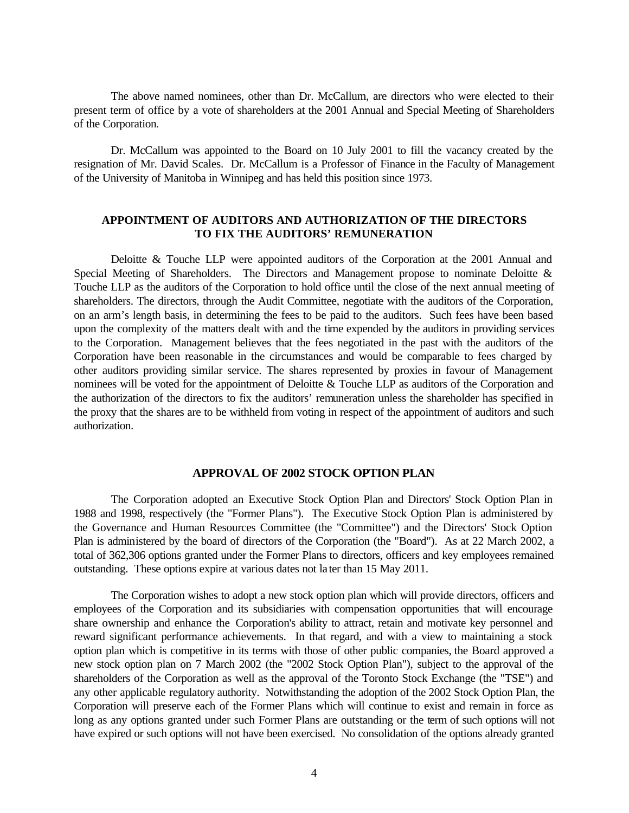The above named nominees, other than Dr. McCallum, are directors who were elected to their present term of office by a vote of shareholders at the 2001 Annual and Special Meeting of Shareholders of the Corporation.

Dr. McCallum was appointed to the Board on 10 July 2001 to fill the vacancy created by the resignation of Mr. David Scales. Dr. McCallum is a Professor of Finance in the Faculty of Management of the University of Manitoba in Winnipeg and has held this position since 1973.

## **APPOINTMENT OF AUDITORS AND AUTHORIZATION OF THE DIRECTORS TO FIX THE AUDITORS' REMUNERATION**

Deloitte & Touche LLP were appointed auditors of the Corporation at the 2001 Annual and Special Meeting of Shareholders. The Directors and Management propose to nominate Deloitte & Touche LLP as the auditors of the Corporation to hold office until the close of the next annual meeting of shareholders. The directors, through the Audit Committee, negotiate with the auditors of the Corporation, on an arm's length basis, in determining the fees to be paid to the auditors. Such fees have been based upon the complexity of the matters dealt with and the time expended by the auditors in providing services to the Corporation. Management believes that the fees negotiated in the past with the auditors of the Corporation have been reasonable in the circumstances and would be comparable to fees charged by other auditors providing similar service. The shares represented by proxies in favour of Management nominees will be voted for the appointment of Deloitte & Touche LLP as auditors of the Corporation and the authorization of the directors to fix the auditors' remuneration unless the shareholder has specified in the proxy that the shares are to be withheld from voting in respect of the appointment of auditors and such authorization.

## **APPROVAL OF 2002 STOCK OPTION PLAN**

The Corporation adopted an Executive Stock Option Plan and Directors' Stock Option Plan in 1988 and 1998, respectively (the "Former Plans"). The Executive Stock Option Plan is administered by the Governance and Human Resources Committee (the "Committee") and the Directors' Stock Option Plan is administered by the board of directors of the Corporation (the "Board"). As at 22 March 2002, a total of 362,306 options granted under the Former Plans to directors, officers and key employees remained outstanding. These options expire at various dates not la ter than 15 May 2011.

The Corporation wishes to adopt a new stock option plan which will provide directors, officers and employees of the Corporation and its subsidiaries with compensation opportunities that will encourage share ownership and enhance the Corporation's ability to attract, retain and motivate key personnel and reward significant performance achievements. In that regard, and with a view to maintaining a stock option plan which is competitive in its terms with those of other public companies, the Board approved a new stock option plan on 7 March 2002 (the "2002 Stock Option Plan"), subject to the approval of the shareholders of the Corporation as well as the approval of the Toronto Stock Exchange (the "TSE") and any other applicable regulatory authority. Notwithstanding the adoption of the 2002 Stock Option Plan, the Corporation will preserve each of the Former Plans which will continue to exist and remain in force as long as any options granted under such Former Plans are outstanding or the term of such options will not have expired or such options will not have been exercised. No consolidation of the options already granted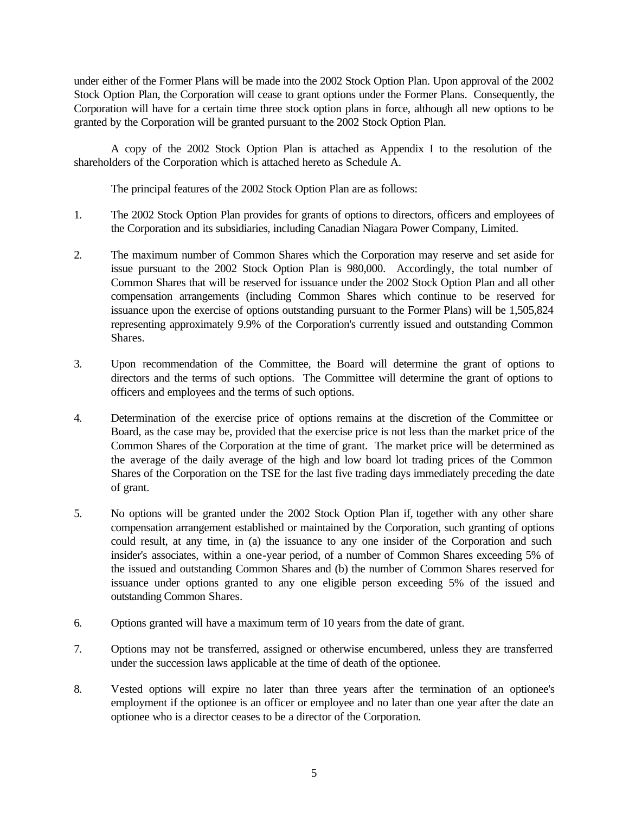under either of the Former Plans will be made into the 2002 Stock Option Plan. Upon approval of the 2002 Stock Option Plan, the Corporation will cease to grant options under the Former Plans. Consequently, the Corporation will have for a certain time three stock option plans in force, although all new options to be granted by the Corporation will be granted pursuant to the 2002 Stock Option Plan.

A copy of the 2002 Stock Option Plan is attached as Appendix I to the resolution of the shareholders of the Corporation which is attached hereto as Schedule A.

The principal features of the 2002 Stock Option Plan are as follows:

- 1. The 2002 Stock Option Plan provides for grants of options to directors, officers and employees of the Corporation and its subsidiaries, including Canadian Niagara Power Company, Limited.
- 2. The maximum number of Common Shares which the Corporation may reserve and set aside for issue pursuant to the 2002 Stock Option Plan is 980,000. Accordingly, the total number of Common Shares that will be reserved for issuance under the 2002 Stock Option Plan and all other compensation arrangements (including Common Shares which continue to be reserved for issuance upon the exercise of options outstanding pursuant to the Former Plans) will be 1,505,824 representing approximately 9.9% of the Corporation's currently issued and outstanding Common Shares.
- 3. Upon recommendation of the Committee, the Board will determine the grant of options to directors and the terms of such options. The Committee will determine the grant of options to officers and employees and the terms of such options.
- 4. Determination of the exercise price of options remains at the discretion of the Committee or Board, as the case may be, provided that the exercise price is not less than the market price of the Common Shares of the Corporation at the time of grant. The market price will be determined as the average of the daily average of the high and low board lot trading prices of the Common Shares of the Corporation on the TSE for the last five trading days immediately preceding the date of grant.
- 5. No options will be granted under the 2002 Stock Option Plan if, together with any other share compensation arrangement established or maintained by the Corporation, such granting of options could result, at any time, in (a) the issuance to any one insider of the Corporation and such insider's associates, within a one-year period, of a number of Common Shares exceeding 5% of the issued and outstanding Common Shares and (b) the number of Common Shares reserved for issuance under options granted to any one eligible person exceeding 5% of the issued and outstanding Common Shares.
- 6. Options granted will have a maximum term of 10 years from the date of grant.
- 7. Options may not be transferred, assigned or otherwise encumbered, unless they are transferred under the succession laws applicable at the time of death of the optionee.
- 8. Vested options will expire no later than three years after the termination of an optionee's employment if the optionee is an officer or employee and no later than one year after the date an optionee who is a director ceases to be a director of the Corporation.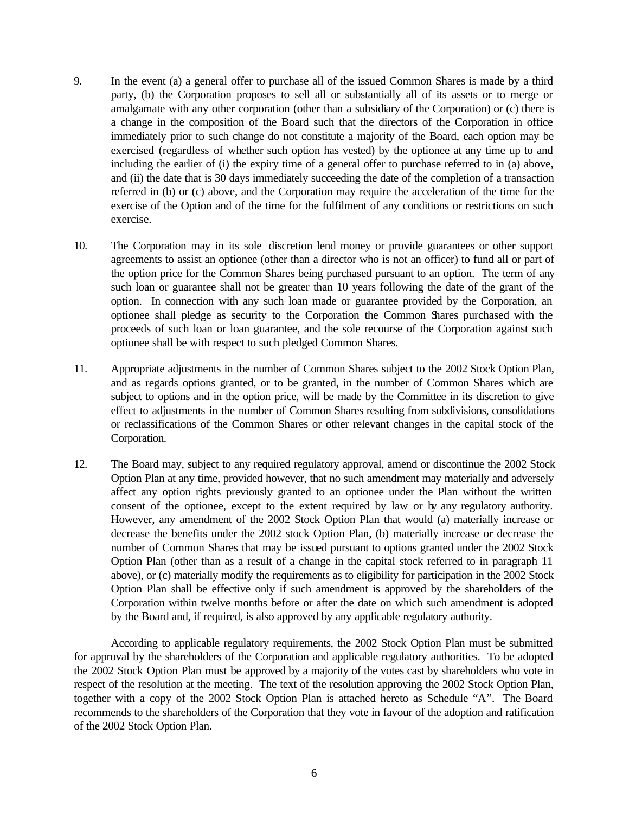- 9. In the event (a) a general offer to purchase all of the issued Common Shares is made by a third party, (b) the Corporation proposes to sell all or substantially all of its assets or to merge or amalgamate with any other corporation (other than a subsidiary of the Corporation) or (c) there is a change in the composition of the Board such that the directors of the Corporation in office immediately prior to such change do not constitute a majority of the Board, each option may be exercised (regardless of whether such option has vested) by the optionee at any time up to and including the earlier of (i) the expiry time of a general offer to purchase referred to in (a) above, and (ii) the date that is 30 days immediately succeeding the date of the completion of a transaction referred in (b) or (c) above, and the Corporation may require the acceleration of the time for the exercise of the Option and of the time for the fulfilment of any conditions or restrictions on such exercise.
- 10. The Corporation may in its sole discretion lend money or provide guarantees or other support agreements to assist an optionee (other than a director who is not an officer) to fund all or part of the option price for the Common Shares being purchased pursuant to an option. The term of any such loan or guarantee shall not be greater than 10 years following the date of the grant of the option. In connection with any such loan made or guarantee provided by the Corporation, an optionee shall pledge as security to the Corporation the Common Shares purchased with the proceeds of such loan or loan guarantee, and the sole recourse of the Corporation against such optionee shall be with respect to such pledged Common Shares.
- 11. Appropriate adjustments in the number of Common Shares subject to the 2002 Stock Option Plan, and as regards options granted, or to be granted, in the number of Common Shares which are subject to options and in the option price, will be made by the Committee in its discretion to give effect to adjustments in the number of Common Shares resulting from subdivisions, consolidations or reclassifications of the Common Shares or other relevant changes in the capital stock of the Corporation.
- 12. The Board may, subject to any required regulatory approval, amend or discontinue the 2002 Stock Option Plan at any time, provided however, that no such amendment may materially and adversely affect any option rights previously granted to an optionee under the Plan without the written consent of the optionee, except to the extent required by law or by any regulatory authority. However, any amendment of the 2002 Stock Option Plan that would (a) materially increase or decrease the benefits under the 2002 stock Option Plan, (b) materially increase or decrease the number of Common Shares that may be issued pursuant to options granted under the 2002 Stock Option Plan (other than as a result of a change in the capital stock referred to in paragraph 11 above), or (c) materially modify the requirements as to eligibility for participation in the 2002 Stock Option Plan shall be effective only if such amendment is approved by the shareholders of the Corporation within twelve months before or after the date on which such amendment is adopted by the Board and, if required, is also approved by any applicable regulatory authority.

According to applicable regulatory requirements, the 2002 Stock Option Plan must be submitted for approval by the shareholders of the Corporation and applicable regulatory authorities. To be adopted the 2002 Stock Option Plan must be approved by a majority of the votes cast by shareholders who vote in respect of the resolution at the meeting. The text of the resolution approving the 2002 Stock Option Plan, together with a copy of the 2002 Stock Option Plan is attached hereto as Schedule "A". The Board recommends to the shareholders of the Corporation that they vote in favour of the adoption and ratification of the 2002 Stock Option Plan.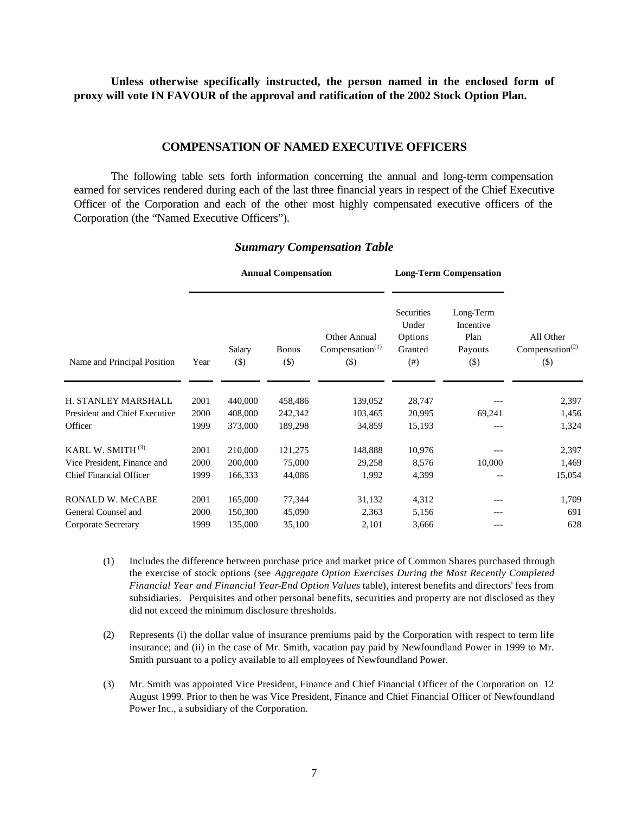**Unless otherwise specifically instructed, the person named in the enclosed form of proxy will vote IN FAVOUR of the approval and ratification of the 2002 Stock Option Plan.**

## **COMPENSATION OF NAMED EXECUTIVE OFFICERS**

The following table sets forth information concerning the annual and long-term compensation earned for services rendered during each of the last three financial years in respect of the Chief Executive Officer of the Corporation and each of the other most highly compensated executive officers of the Corporation (the "Named Executive Officers").

|                                |      | <b>Annual Compensation</b> |                        |                                              |                                                     | <b>Long-Term Compensation</b>                       |                                                    |
|--------------------------------|------|----------------------------|------------------------|----------------------------------------------|-----------------------------------------------------|-----------------------------------------------------|----------------------------------------------------|
| Name and Principal Position    | Year | Salary<br>$(\$)$           | <b>Bonus</b><br>$(\$)$ | Other Annual<br>Compensation $(1)$<br>$(\$)$ | Securities<br>Under<br>Options<br>Granted<br>$(\#)$ | Long-Term<br>Incentive<br>Plan<br>Payouts<br>$(\$)$ | All Other<br>Compensation <sup>(2)</sup><br>$(\$)$ |
|                                |      |                            |                        |                                              |                                                     |                                                     |                                                    |
| H. STANLEY MARSHALL            | 2001 | 440,000                    | 458,486                | 139,052                                      | 28,747                                              |                                                     | 2,397                                              |
| President and Chief Executive  | 2000 | 408,000                    | 242,342                | 103,465                                      | 20,995                                              | 69,241                                              | 1,456                                              |
| Officer                        | 1999 | 373,000                    | 189,298                | 34,859                                       | 15,193                                              |                                                     | 1,324                                              |
| KARL W. SMITH $^{(3)}$         | 2001 | 210,000                    | 121,275                | 148,888                                      | 10,976                                              |                                                     | 2,397                                              |
| Vice President, Finance and    | 2000 | 200,000                    | 75,000                 | 29,258                                       | 8,576                                               | 10,000                                              | 1,469                                              |
| <b>Chief Financial Officer</b> | 1999 | 166,333                    | 44,086                 | 1,992                                        | 4,399                                               |                                                     | 15,054                                             |
| <b>RONALD W. McCABE</b>        | 2001 | 165,000                    | 77,344                 | 31,132                                       | 4,312                                               | ---                                                 | 1,709                                              |
| General Counsel and            | 2000 | 150,300                    | 45,090                 | 2,363                                        | 5,156                                               | ---                                                 | 691                                                |
| Corporate Secretary            | 1999 | 135,000                    | 35,100                 | 2,101                                        | 3,666                                               | ---                                                 | 628                                                |

#### *Summary Compensation Table*

- (1) Includes the difference between purchase price and market price of Common Shares purchased through the exercise of stock options (see *Aggregate Option Exercises During the Most Recently Completed Financial Year and Financial Year-End Option Values* table), interest benefits and directors' fees from subsidiaries. Perquisites and other personal benefits, securities and property are not disclosed as they did not exceed the minimum disclosure thresholds.
- (2) Represents (i) the dollar value of insurance premiums paid by the Corporation with respect to term life insurance; and (ii) in the case of Mr. Smith, vacation pay paid by Newfoundland Power in 1999 to Mr. Smith pursuant to a policy available to all employees of Newfoundland Power.
- (3) Mr. Smith was appointed Vice President, Finance and Chief Financial Officer of the Corporation on 12 August 1999. Prior to then he was Vice President, Finance and Chief Financial Officer of Newfoundland Power Inc., a subsidiary of the Corporation.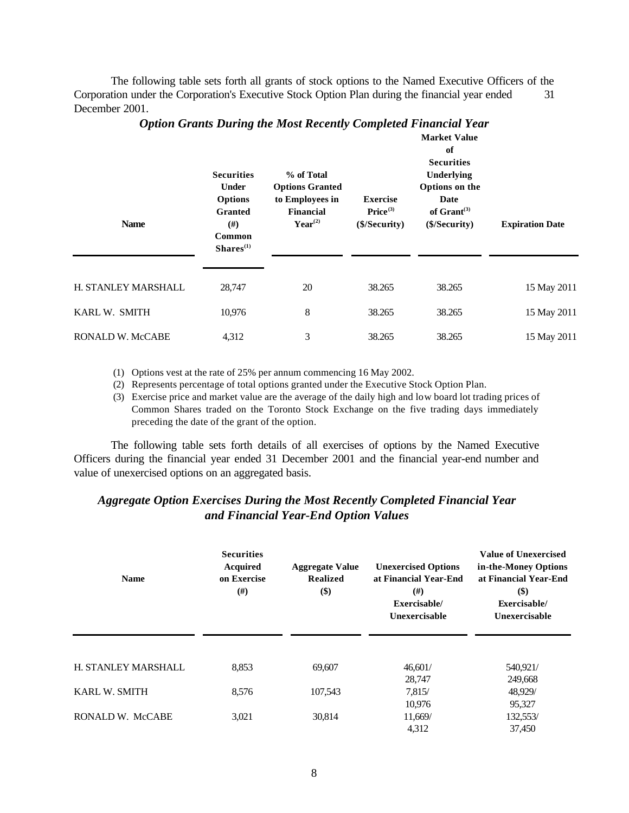The following table sets forth all grants of stock options to the Named Executive Officers of the Corporation under the Corporation's Executive Stock Option Plan during the financial year ended 31 December 2001.

| <b>Name</b>             | <b>Securities</b><br><b>Under</b><br><b>Options</b><br><b>Granted</b><br>#)<br>Common<br>Shares <sup>(1)</sup> | % of Total<br><b>Options Granted</b><br>to Employees in<br>Financial<br>$Year^{(2)}$ | <b>Exercise</b><br>Price <sup>(3)</sup><br>(\$/Security) | of<br><b>Securities</b><br>Underlying<br>Options on the<br>Date<br>of $Gran(3)$<br>(\$/Security) | <b>Expiration Date</b> |
|-------------------------|----------------------------------------------------------------------------------------------------------------|--------------------------------------------------------------------------------------|----------------------------------------------------------|--------------------------------------------------------------------------------------------------|------------------------|
| H. STANLEY MARSHALL     | 28,747                                                                                                         | 20                                                                                   | 38.265                                                   | 38.265                                                                                           | 15 May 2011            |
| KARL W. SMITH           | 10,976                                                                                                         | 8                                                                                    | 38.265                                                   | 38.265                                                                                           | 15 May 2011            |
| <b>RONALD W. McCABE</b> | 4,312                                                                                                          | 3                                                                                    | 38.265                                                   | 38.265                                                                                           | 15 May 2011            |

## *Option Grants During the Most Recently Completed Financial Year*

**Market Value** 

(1) Options vest at the rate of 25% per annum commencing 16 May 2002.

(2) Represents percentage of total options granted under the Executive Stock Option Plan.

(3) Exercise price and market value are the average of the daily high and low board lot trading prices of Common Shares traded on the Toronto Stock Exchange on the five trading days immediately preceding the date of the grant of the option.

The following table sets forth details of all exercises of options by the Named Executive Officers during the financial year ended 31 December 2001 and the financial year-end number and value of unexercised options on an aggregated basis.

## *Aggregate Option Exercises During the Most Recently Completed Financial Year and Financial Year-End Option Values*

| <b>Name</b>          | <b>Securities</b><br><b>Acquired</b><br>on Exercise<br>#) | <b>Aggregate Value</b><br><b>Realized</b><br>$(\$)$ | <b>Unexercised Options</b><br>at Financial Year-End<br>#)<br>Exercisable/<br>Unexercisable | <b>Value of Unexercised</b><br>in-the-Money Options<br>at Financial Year-End<br>$($ \$)<br>Exercisable/<br>Unexercisable |
|----------------------|-----------------------------------------------------------|-----------------------------------------------------|--------------------------------------------------------------------------------------------|--------------------------------------------------------------------------------------------------------------------------|
| H. STANLEY MARSHALL  | 8.853                                                     | 69,607                                              | 46,601/                                                                                    | 540,921/                                                                                                                 |
| <b>KARL W. SMITH</b> | 8,576                                                     | 107,543                                             | 28,747<br>7,815/                                                                           | 249,668<br>48,929/                                                                                                       |
|                      |                                                           |                                                     | 10,976                                                                                     | 95,327                                                                                                                   |
| RONALD W. McCABE     | 3,021                                                     | 30,814                                              | 11,669/<br>4,312                                                                           | 132,553/<br>37,450                                                                                                       |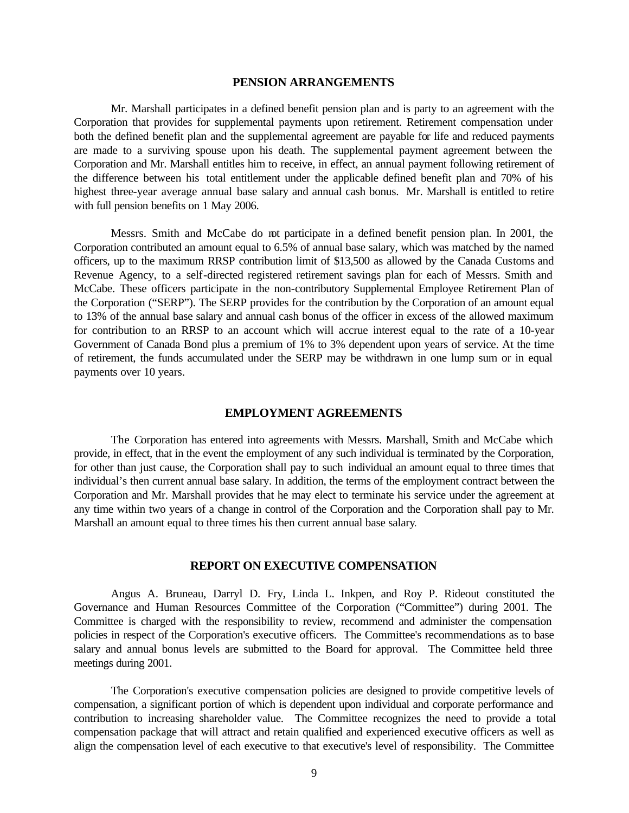#### **PENSION ARRANGEMENTS**

Mr. Marshall participates in a defined benefit pension plan and is party to an agreement with the Corporation that provides for supplemental payments upon retirement. Retirement compensation under both the defined benefit plan and the supplemental agreement are payable for life and reduced payments are made to a surviving spouse upon his death. The supplemental payment agreement between the Corporation and Mr. Marshall entitles him to receive, in effect, an annual payment following retirement of the difference between his total entitlement under the applicable defined benefit plan and 70% of his highest three-year average annual base salary and annual cash bonus. Mr. Marshall is entitled to retire with full pension benefits on 1 May 2006.

Messrs. Smith and McCabe do not participate in a defined benefit pension plan. In 2001, the Corporation contributed an amount equal to 6.5% of annual base salary, which was matched by the named officers, up to the maximum RRSP contribution limit of \$13,500 as allowed by the Canada Customs and Revenue Agency, to a self-directed registered retirement savings plan for each of Messrs. Smith and McCabe. These officers participate in the non-contributory Supplemental Employee Retirement Plan of the Corporation ("SERP"). The SERP provides for the contribution by the Corporation of an amount equal to 13% of the annual base salary and annual cash bonus of the officer in excess of the allowed maximum for contribution to an RRSP to an account which will accrue interest equal to the rate of a 10-year Government of Canada Bond plus a premium of 1% to 3% dependent upon years of service. At the time of retirement, the funds accumulated under the SERP may be withdrawn in one lump sum or in equal payments over 10 years.

### **EMPLOYMENT AGREEMENTS**

The Corporation has entered into agreements with Messrs. Marshall, Smith and McCabe which provide, in effect, that in the event the employment of any such individual is terminated by the Corporation, for other than just cause, the Corporation shall pay to such individual an amount equal to three times that individual's then current annual base salary. In addition, the terms of the employment contract between the Corporation and Mr. Marshall provides that he may elect to terminate his service under the agreement at any time within two years of a change in control of the Corporation and the Corporation shall pay to Mr. Marshall an amount equal to three times his then current annual base salary.

#### **REPORT ON EXECUTIVE COMPENSATION**

Angus A. Bruneau, Darryl D. Fry, Linda L. Inkpen, and Roy P. Rideout constituted the Governance and Human Resources Committee of the Corporation ("Committee") during 2001. The Committee is charged with the responsibility to review, recommend and administer the compensation policies in respect of the Corporation's executive officers. The Committee's recommendations as to base salary and annual bonus levels are submitted to the Board for approval. The Committee held three meetings during 2001.

The Corporation's executive compensation policies are designed to provide competitive levels of compensation, a significant portion of which is dependent upon individual and corporate performance and contribution to increasing shareholder value. The Committee recognizes the need to provide a total compensation package that will attract and retain qualified and experienced executive officers as well as align the compensation level of each executive to that executive's level of responsibility. The Committee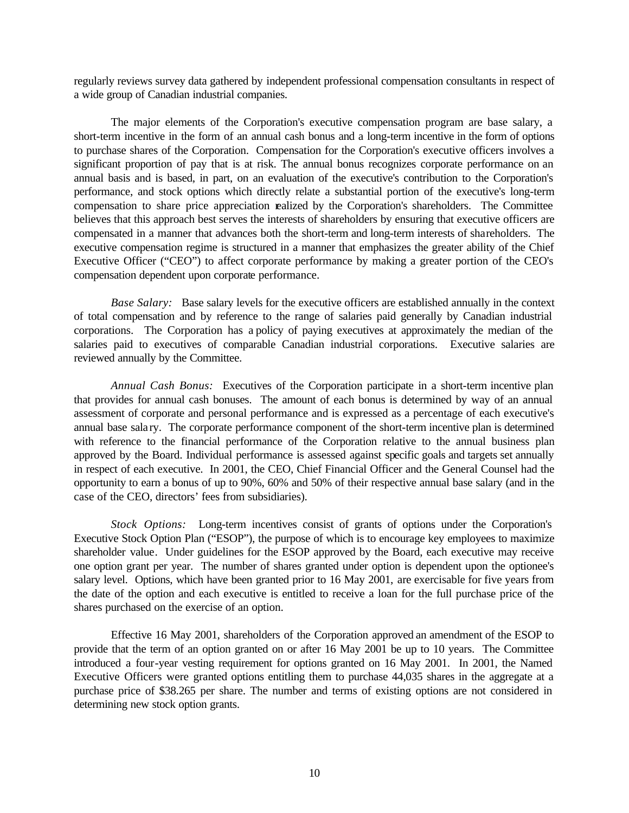regularly reviews survey data gathered by independent professional compensation consultants in respect of a wide group of Canadian industrial companies.

The major elements of the Corporation's executive compensation program are base salary, a short-term incentive in the form of an annual cash bonus and a long-term incentive in the form of options to purchase shares of the Corporation. Compensation for the Corporation's executive officers involves a significant proportion of pay that is at risk. The annual bonus recognizes corporate performance on an annual basis and is based, in part, on an evaluation of the executive's contribution to the Corporation's performance, and stock options which directly relate a substantial portion of the executive's long-term compensation to share price appreciation realized by the Corporation's shareholders. The Committee believes that this approach best serves the interests of shareholders by ensuring that executive officers are compensated in a manner that advances both the short-term and long-term interests of shareholders. The executive compensation regime is structured in a manner that emphasizes the greater ability of the Chief Executive Officer ("CEO") to affect corporate performance by making a greater portion of the CEO's compensation dependent upon corporate performance.

*Base Salary:* Base salary levels for the executive officers are established annually in the context of total compensation and by reference to the range of salaries paid generally by Canadian industrial corporations. The Corporation has a policy of paying executives at approximately the median of the salaries paid to executives of comparable Canadian industrial corporations. Executive salaries are reviewed annually by the Committee.

*Annual Cash Bonus:* Executives of the Corporation participate in a short-term incentive plan that provides for annual cash bonuses. The amount of each bonus is determined by way of an annual assessment of corporate and personal performance and is expressed as a percentage of each executive's annual base sala ry. The corporate performance component of the short-term incentive plan is determined with reference to the financial performance of the Corporation relative to the annual business plan approved by the Board. Individual performance is assessed against specific goals and targets set annually in respect of each executive. In 2001, the CEO, Chief Financial Officer and the General Counsel had the opportunity to earn a bonus of up to 90%, 60% and 50% of their respective annual base salary (and in the case of the CEO, directors' fees from subsidiaries).

*Stock Options:* Long-term incentives consist of grants of options under the Corporation's Executive Stock Option Plan ("ESOP"), the purpose of which is to encourage key employees to maximize shareholder value. Under guidelines for the ESOP approved by the Board, each executive may receive one option grant per year. The number of shares granted under option is dependent upon the optionee's salary level. Options, which have been granted prior to 16 May 2001, are exercisable for five years from the date of the option and each executive is entitled to receive a loan for the full purchase price of the shares purchased on the exercise of an option.

Effective 16 May 2001, shareholders of the Corporation approved an amendment of the ESOP to provide that the term of an option granted on or after 16 May 2001 be up to 10 years. The Committee introduced a four-year vesting requirement for options granted on 16 May 2001. In 2001, the Named Executive Officers were granted options entitling them to purchase 44,035 shares in the aggregate at a purchase price of \$38.265 per share. The number and terms of existing options are not considered in determining new stock option grants.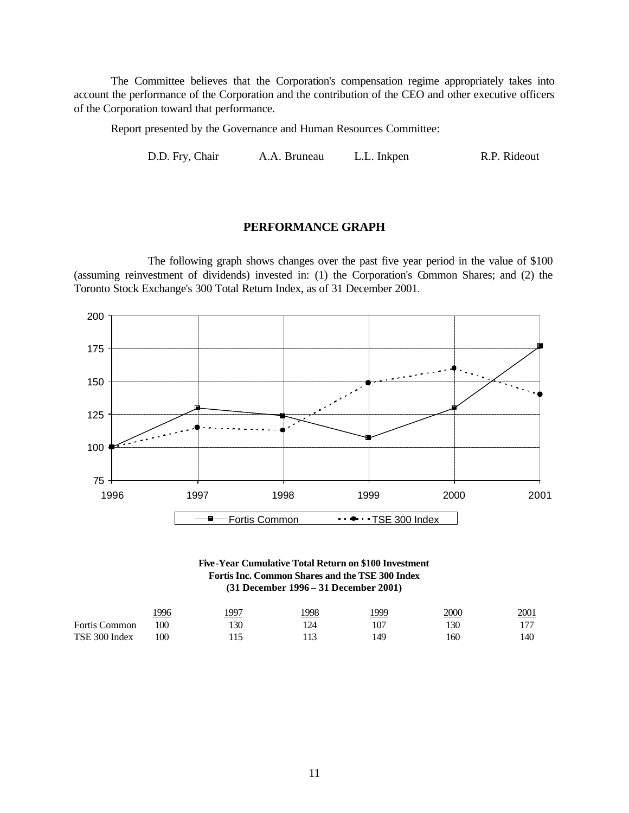The Committee believes that the Corporation's compensation regime appropriately takes into account the performance of the Corporation and the contribution of the CEO and other executive officers of the Corporation toward that performance.

Report presented by the Governance and Human Resources Committee:

D.D. Fry, Chair A.A. Bruneau L.L. Inkpen R.P. Rideout

## **PERFORMANCE GRAPH**

The following graph shows changes over the past five year period in the value of \$100 (assuming reinvestment of dividends) invested in: (1) the Corporation's Common Shares; and (2) the Toronto Stock Exchange's 300 Total Return Index, as of 31 December 2001.





|                      | 996 | 1997 | 998 | 1999 | <u> 2000</u> | 2001 |
|----------------------|-----|------|-----|------|--------------|------|
| <b>Fortis Common</b> | 100 | .30  | 124 | 107  | 130          | די ו |
| TSE 300 Index        | 100 |      |     | 49ء  | 160          | 140  |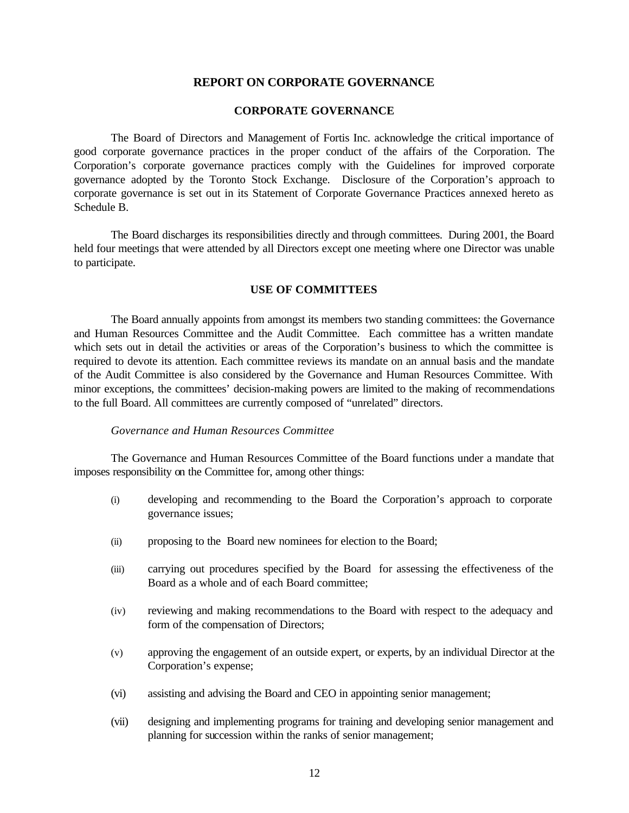## **REPORT ON CORPORATE GOVERNANCE**

#### **CORPORATE GOVERNANCE**

The Board of Directors and Management of Fortis Inc. acknowledge the critical importance of good corporate governance practices in the proper conduct of the affairs of the Corporation. The Corporation's corporate governance practices comply with the Guidelines for improved corporate governance adopted by the Toronto Stock Exchange. Disclosure of the Corporation's approach to corporate governance is set out in its Statement of Corporate Governance Practices annexed hereto as Schedule B.

The Board discharges its responsibilities directly and through committees. During 2001, the Board held four meetings that were attended by all Directors except one meeting where one Director was unable to participate.

#### **USE OF COMMITTEES**

The Board annually appoints from amongst its members two standing committees: the Governance and Human Resources Committee and the Audit Committee. Each committee has a written mandate which sets out in detail the activities or areas of the Corporation's business to which the committee is required to devote its attention. Each committee reviews its mandate on an annual basis and the mandate of the Audit Committee is also considered by the Governance and Human Resources Committee. With minor exceptions, the committees' decision-making powers are limited to the making of recommendations to the full Board. All committees are currently composed of "unrelated" directors.

#### *Governance and Human Resources Committee*

The Governance and Human Resources Committee of the Board functions under a mandate that imposes responsibility on the Committee for, among other things:

- (i) developing and recommending to the Board the Corporation's approach to corporate governance issues;
- (ii) proposing to the Board new nominees for election to the Board;
- (iii) carrying out procedures specified by the Board for assessing the effectiveness of the Board as a whole and of each Board committee;
- (iv) reviewing and making recommendations to the Board with respect to the adequacy and form of the compensation of Directors;
- (v) approving the engagement of an outside expert, or experts, by an individual Director at the Corporation's expense;
- (vi) assisting and advising the Board and CEO in appointing senior management;
- (vii) designing and implementing programs for training and developing senior management and planning for succession within the ranks of senior management;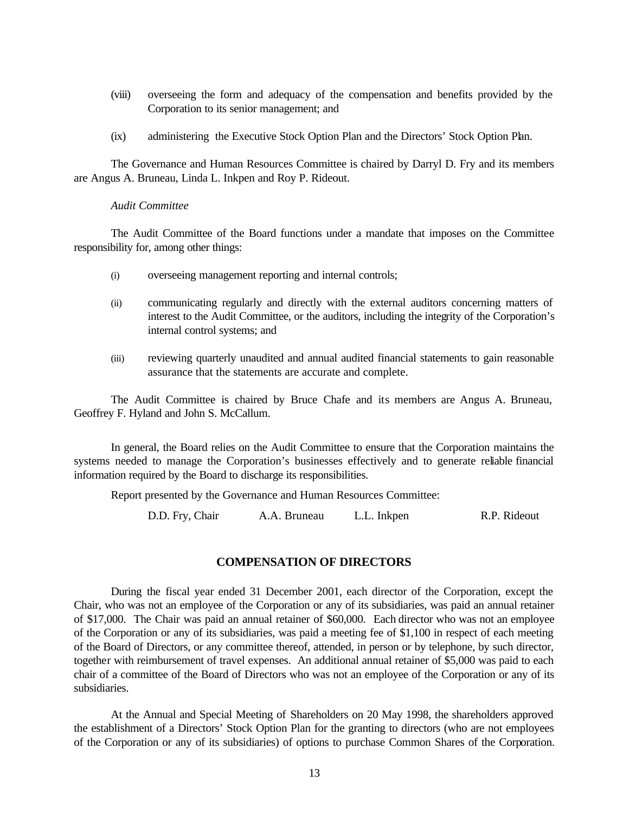- (viii) overseeing the form and adequacy of the compensation and benefits provided by the Corporation to its senior management; and
- (ix) administering the Executive Stock Option Plan and the Directors' Stock Option Plan.

The Governance and Human Resources Committee is chaired by Darryl D. Fry and its members are Angus A. Bruneau, Linda L. Inkpen and Roy P. Rideout.

#### *Audit Committee*

The Audit Committee of the Board functions under a mandate that imposes on the Committee responsibility for, among other things:

- (i) overseeing management reporting and internal controls;
- (ii) communicating regularly and directly with the external auditors concerning matters of interest to the Audit Committee, or the auditors, including the integrity of the Corporation's internal control systems; and
- (iii) reviewing quarterly unaudited and annual audited financial statements to gain reasonable assurance that the statements are accurate and complete.

The Audit Committee is chaired by Bruce Chafe and its members are Angus A. Bruneau, Geoffrey F. Hyland and John S. McCallum.

In general, the Board relies on the Audit Committee to ensure that the Corporation maintains the systems needed to manage the Corporation's businesses effectively and to generate reliable financial information required by the Board to discharge its responsibilities.

Report presented by the Governance and Human Resources Committee:

D.D. Fry, Chair A.A. Bruneau L.L. Inkpen R.P. Rideout

## **COMPENSATION OF DIRECTORS**

During the fiscal year ended 31 December 2001, each director of the Corporation, except the Chair, who was not an employee of the Corporation or any of its subsidiaries, was paid an annual retainer of \$17,000. The Chair was paid an annual retainer of \$60,000. Each director who was not an employee of the Corporation or any of its subsidiaries, was paid a meeting fee of \$1,100 in respect of each meeting of the Board of Directors, or any committee thereof, attended, in person or by telephone, by such director, together with reimbursement of travel expenses. An additional annual retainer of \$5,000 was paid to each chair of a committee of the Board of Directors who was not an employee of the Corporation or any of its subsidiaries.

At the Annual and Special Meeting of Shareholders on 20 May 1998, the shareholders approved the establishment of a Directors' Stock Option Plan for the granting to directors (who are not employees of the Corporation or any of its subsidiaries) of options to purchase Common Shares of the Corporation.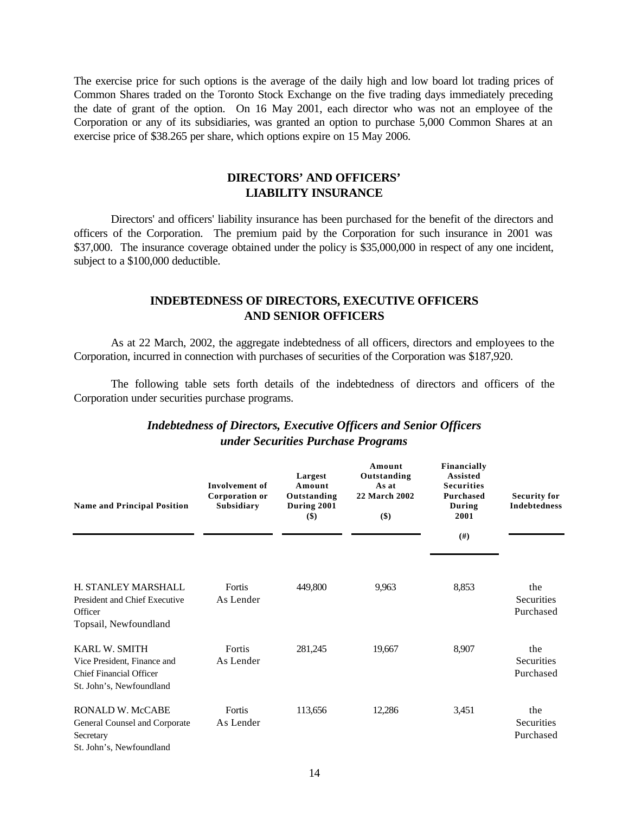The exercise price for such options is the average of the daily high and low board lot trading prices of Common Shares traded on the Toronto Stock Exchange on the five trading days immediately preceding the date of grant of the option. On 16 May 2001, each director who was not an employee of the Corporation or any of its subsidiaries, was granted an option to purchase 5,000 Common Shares at an exercise price of \$38.265 per share, which options expire on 15 May 2006.

## **DIRECTORS' AND OFFICERS' LIABILITY INSURANCE**

Directors' and officers' liability insurance has been purchased for the benefit of the directors and officers of the Corporation. The premium paid by the Corporation for such insurance in 2001 was \$37,000. The insurance coverage obtained under the policy is \$35,000,000 in respect of any one incident, subject to a \$100,000 deductible.

## **INDEBTEDNESS OF DIRECTORS, EXECUTIVE OFFICERS AND SENIOR OFFICERS**

As at 22 March, 2002, the aggregate indebtedness of all officers, directors and employees to the Corporation, incurred in connection with purchases of securities of the Corporation was \$187,920.

The following table sets forth details of the indebtedness of directors and officers of the Corporation under securities purchase programs.

| <b>Name and Principal Position</b>                                                                         | Involvement of<br>Corporation or<br>Subsidiary | Largest<br>Amount<br>Outstanding<br>During 2001<br>$($)$ | Amount<br>Outstanding<br>As at<br>22 March 2002<br>\$) | Financially<br><b>Assisted</b><br><b>Securities</b><br><b>Purchased</b><br>During<br>2001<br>(#) | <b>Security for</b><br><b>Indebtedness</b> |
|------------------------------------------------------------------------------------------------------------|------------------------------------------------|----------------------------------------------------------|--------------------------------------------------------|--------------------------------------------------------------------------------------------------|--------------------------------------------|
| H. STANLEY MARSHALL<br>President and Chief Executive<br>Officer<br>Topsail, Newfoundland                   | Fortis<br>As Lender                            | 449,800                                                  | 9,963                                                  | 8,853                                                                                            | the<br><b>Securities</b><br>Purchased      |
| <b>KARL W. SMITH</b><br>Vice President, Finance and<br>Chief Financial Officer<br>St. John's, Newfoundland | Fortis<br>As Lender                            | 281,245                                                  | 19,667                                                 | 8,907                                                                                            | the<br>Securities<br>Purchased             |
| <b>RONALD W. McCABE</b><br>General Counsel and Corporate<br>Secretary<br>St. John's, Newfoundland          | Fortis<br>As Lender                            | 113,656                                                  | 12,286                                                 | 3,451                                                                                            | the<br>Securities<br>Purchased             |

## *Indebtedness of Directors, Executive Officers and Senior Officers under Securities Purchase Programs*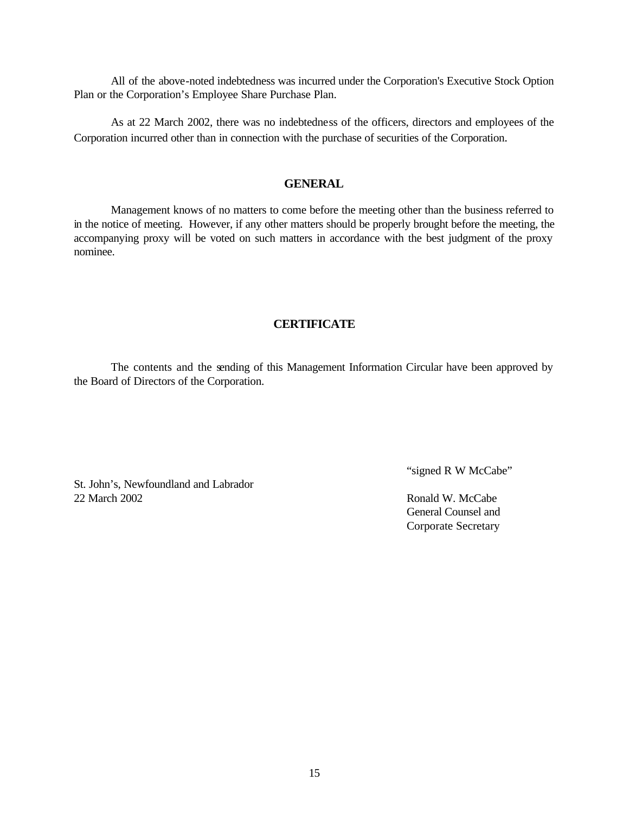All of the above-noted indebtedness was incurred under the Corporation's Executive Stock Option Plan or the Corporation's Employee Share Purchase Plan.

As at 22 March 2002, there was no indebtedness of the officers, directors and employees of the Corporation incurred other than in connection with the purchase of securities of the Corporation.

## **GENERAL**

Management knows of no matters to come before the meeting other than the business referred to in the notice of meeting. However, if any other matters should be properly brought before the meeting, the accompanying proxy will be voted on such matters in accordance with the best judgment of the proxy nominee.

## **CERTIFICATE**

The contents and the sending of this Management Information Circular have been approved by the Board of Directors of the Corporation.

St. John's, Newfoundland and Labrador 22 March 2002 Ronald W. McCabe

"signed R W McCabe"

General Counsel and Corporate Secretary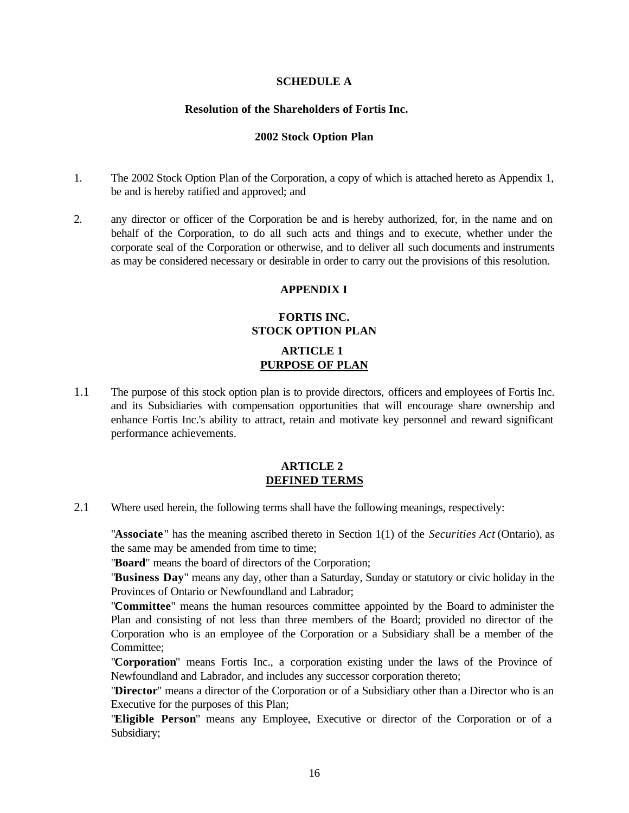## **SCHEDULE A**

### **Resolution of the Shareholders of Fortis Inc.**

#### **2002 Stock Option Plan**

- 1. The 2002 Stock Option Plan of the Corporation, a copy of which is attached hereto as Appendix 1, be and is hereby ratified and approved; and
- 2. any director or officer of the Corporation be and is hereby authorized, for, in the name and on behalf of the Corporation, to do all such acts and things and to execute, whether under the corporate seal of the Corporation or otherwise, and to deliver all such documents and instruments as may be considered necessary or desirable in order to carry out the provisions of this resolution.

#### **APPENDIX I**

## **FORTIS INC. STOCK OPTION PLAN**

## **ARTICLE 1 PURPOSE OF PLAN**

1.1 The purpose of this stock option plan is to provide directors, officers and employees of Fortis Inc. and its Subsidiaries with compensation opportunities that will encourage share ownership and enhance Fortis Inc.'s ability to attract, retain and motivate key personnel and reward significant performance achievements.

## **ARTICLE 2 DEFINED TERMS**

2.1 Where used herein, the following terms shall have the following meanings, respectively:

"**Associate**" has the meaning ascribed thereto in Section 1(1) of the *Securities Act* (Ontario), as the same may be amended from time to time;

"**Board**" means the board of directors of the Corporation;

"**Business Day**" means any day, other than a Saturday, Sunday or statutory or civic holiday in the Provinces of Ontario or Newfoundland and Labrador;

"**Committee**" means the human resources committee appointed by the Board to administer the Plan and consisting of not less than three members of the Board; provided no director of the Corporation who is an employee of the Corporation or a Subsidiary shall be a member of the Committee;

"**Corporation**" means Fortis Inc., a corporation existing under the laws of the Province of Newfoundland and Labrador, and includes any successor corporation thereto;

"**Director**" means a director of the Corporation or of a Subsidiary other than a Director who is an Executive for the purposes of this Plan;

"**Eligible Person**" means any Employee, Executive or director of the Corporation or of a Subsidiary;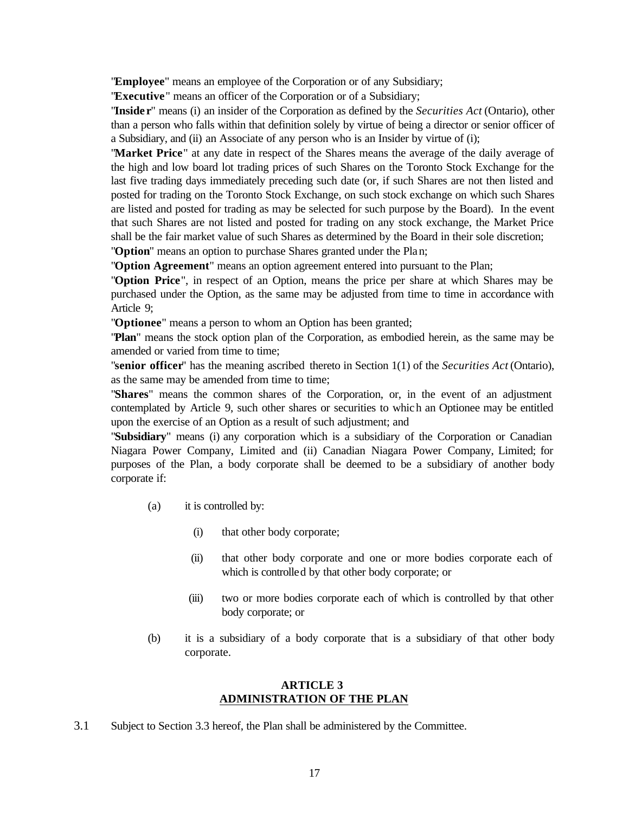"**Employee**" means an employee of the Corporation or of any Subsidiary;

"**Executive**" means an officer of the Corporation or of a Subsidiary;

"**Inside r**" means (i) an insider of the Corporation as defined by the *Securities Act* (Ontario), other than a person who falls within that definition solely by virtue of being a director or senior officer of a Subsidiary, and (ii) an Associate of any person who is an Insider by virtue of (i);

"**Market Price**" at any date in respect of the Shares means the average of the daily average of the high and low board lot trading prices of such Shares on the Toronto Stock Exchange for the last five trading days immediately preceding such date (or, if such Shares are not then listed and posted for trading on the Toronto Stock Exchange, on such stock exchange on which such Shares are listed and posted for trading as may be selected for such purpose by the Board). In the event that such Shares are not listed and posted for trading on any stock exchange, the Market Price shall be the fair market value of such Shares as determined by the Board in their sole discretion; "**Option**" means an option to purchase Shares granted under the Plan;

"**Option Agreement**" means an option agreement entered into pursuant to the Plan;

"**Option Price**", in respect of an Option, means the price per share at which Shares may be purchased under the Option, as the same may be adjusted from time to time in accordance with Article 9;

"**Optionee**" means a person to whom an Option has been granted;

"**Plan**" means the stock option plan of the Corporation, as embodied herein, as the same may be amended or varied from time to time;

"**senior officer**" has the meaning ascribed thereto in Section 1(1) of the *Securities Act* (Ontario), as the same may be amended from time to time;

"**Shares**" means the common shares of the Corporation, or, in the event of an adjustment contemplated by Article 9, such other shares or securities to which an Optionee may be entitled upon the exercise of an Option as a result of such adjustment; and

"**Subsidiary**" means (i) any corporation which is a subsidiary of the Corporation or Canadian Niagara Power Company, Limited and (ii) Canadian Niagara Power Company, Limited; for purposes of the Plan, a body corporate shall be deemed to be a subsidiary of another body corporate if:

- (a) it is controlled by:
	- (i) that other body corporate;
	- (ii) that other body corporate and one or more bodies corporate each of which is controlled by that other body corporate; or
	- (iii) two or more bodies corporate each of which is controlled by that other body corporate; or
- (b) it is a subsidiary of a body corporate that is a subsidiary of that other body corporate.

#### **ARTICLE 3 ADMINISTRATION OF THE PLAN**

3.1 Subject to Section 3.3 hereof, the Plan shall be administered by the Committee.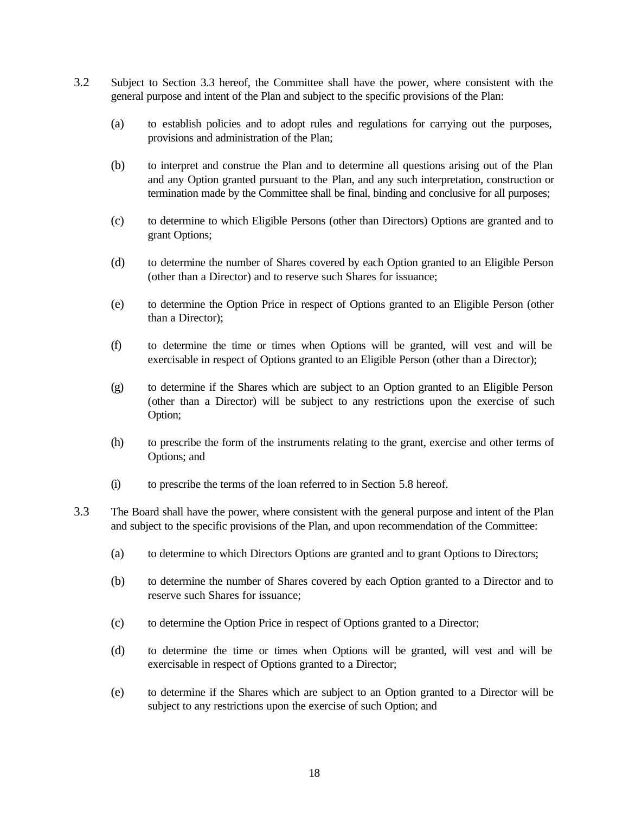- 3.2 Subject to Section 3.3 hereof, the Committee shall have the power, where consistent with the general purpose and intent of the Plan and subject to the specific provisions of the Plan:
	- (a) to establish policies and to adopt rules and regulations for carrying out the purposes, provisions and administration of the Plan;
	- (b) to interpret and construe the Plan and to determine all questions arising out of the Plan and any Option granted pursuant to the Plan, and any such interpretation, construction or termination made by the Committee shall be final, binding and conclusive for all purposes;
	- (c) to determine to which Eligible Persons (other than Directors) Options are granted and to grant Options;
	- (d) to determine the number of Shares covered by each Option granted to an Eligible Person (other than a Director) and to reserve such Shares for issuance;
	- (e) to determine the Option Price in respect of Options granted to an Eligible Person (other than a Director);
	- (f) to determine the time or times when Options will be granted, will vest and will be exercisable in respect of Options granted to an Eligible Person (other than a Director);
	- (g) to determine if the Shares which are subject to an Option granted to an Eligible Person (other than a Director) will be subject to any restrictions upon the exercise of such Option;
	- (h) to prescribe the form of the instruments relating to the grant, exercise and other terms of Options; and
	- (i) to prescribe the terms of the loan referred to in Section 5.8 hereof.
- 3.3 The Board shall have the power, where consistent with the general purpose and intent of the Plan and subject to the specific provisions of the Plan, and upon recommendation of the Committee:
	- (a) to determine to which Directors Options are granted and to grant Options to Directors;
	- (b) to determine the number of Shares covered by each Option granted to a Director and to reserve such Shares for issuance;
	- (c) to determine the Option Price in respect of Options granted to a Director;
	- (d) to determine the time or times when Options will be granted, will vest and will be exercisable in respect of Options granted to a Director;
	- (e) to determine if the Shares which are subject to an Option granted to a Director will be subject to any restrictions upon the exercise of such Option; and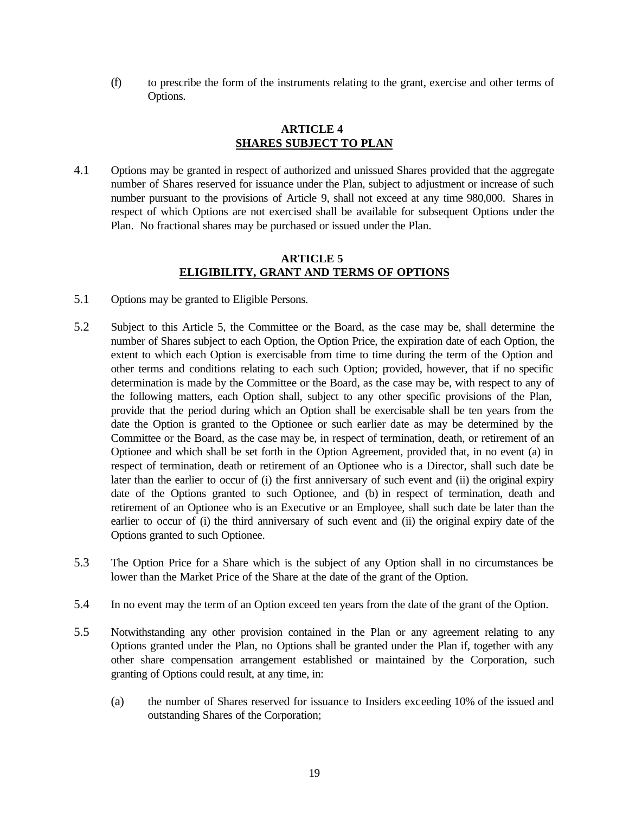(f) to prescribe the form of the instruments relating to the grant, exercise and other terms of Options.

## **ARTICLE 4 SHARES SUBJECT TO PLAN**

4.1 Options may be granted in respect of authorized and unissued Shares provided that the aggregate number of Shares reserved for issuance under the Plan, subject to adjustment or increase of such number pursuant to the provisions of Article 9, shall not exceed at any time 980,000. Shares in respect of which Options are not exercised shall be available for subsequent Options under the Plan. No fractional shares may be purchased or issued under the Plan.

## **ARTICLE 5 ELIGIBILITY, GRANT AND TERMS OF OPTIONS**

- 5.1 Options may be granted to Eligible Persons.
- 5.2 Subject to this Article 5, the Committee or the Board, as the case may be, shall determine the number of Shares subject to each Option, the Option Price, the expiration date of each Option, the extent to which each Option is exercisable from time to time during the term of the Option and other terms and conditions relating to each such Option; provided, however, that if no specific determination is made by the Committee or the Board, as the case may be, with respect to any of the following matters, each Option shall, subject to any other specific provisions of the Plan, provide that the period during which an Option shall be exercisable shall be ten years from the date the Option is granted to the Optionee or such earlier date as may be determined by the Committee or the Board, as the case may be, in respect of termination, death, or retirement of an Optionee and which shall be set forth in the Option Agreement, provided that, in no event (a) in respect of termination, death or retirement of an Optionee who is a Director, shall such date be later than the earlier to occur of (i) the first anniversary of such event and (ii) the original expiry date of the Options granted to such Optionee, and (b) in respect of termination, death and retirement of an Optionee who is an Executive or an Employee, shall such date be later than the earlier to occur of (i) the third anniversary of such event and (ii) the original expiry date of the Options granted to such Optionee.
- 5.3 The Option Price for a Share which is the subject of any Option shall in no circumstances be lower than the Market Price of the Share at the date of the grant of the Option.
- 5.4 In no event may the term of an Option exceed ten years from the date of the grant of the Option.
- 5.5 Notwithstanding any other provision contained in the Plan or any agreement relating to any Options granted under the Plan, no Options shall be granted under the Plan if, together with any other share compensation arrangement established or maintained by the Corporation, such granting of Options could result, at any time, in:
	- (a) the number of Shares reserved for issuance to Insiders exceeding 10% of the issued and outstanding Shares of the Corporation;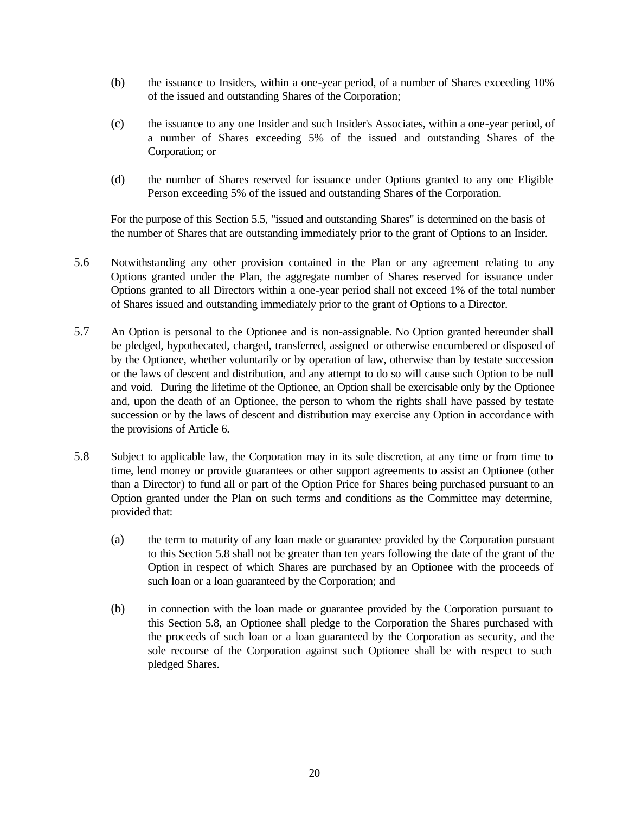- (b) the issuance to Insiders, within a one-year period, of a number of Shares exceeding 10% of the issued and outstanding Shares of the Corporation;
- (c) the issuance to any one Insider and such Insider's Associates, within a one-year period, of a number of Shares exceeding 5% of the issued and outstanding Shares of the Corporation; or
- (d) the number of Shares reserved for issuance under Options granted to any one Eligible Person exceeding 5% of the issued and outstanding Shares of the Corporation.

For the purpose of this Section 5.5, "issued and outstanding Shares" is determined on the basis of the number of Shares that are outstanding immediately prior to the grant of Options to an Insider.

- 5.6 Notwithstanding any other provision contained in the Plan or any agreement relating to any Options granted under the Plan, the aggregate number of Shares reserved for issuance under Options granted to all Directors within a one-year period shall not exceed 1% of the total number of Shares issued and outstanding immediately prior to the grant of Options to a Director.
- 5.7 An Option is personal to the Optionee and is non-assignable. No Option granted hereunder shall be pledged, hypothecated, charged, transferred, assigned or otherwise encumbered or disposed of by the Optionee, whether voluntarily or by operation of law, otherwise than by testate succession or the laws of descent and distribution, and any attempt to do so will cause such Option to be null and void. During the lifetime of the Optionee, an Option shall be exercisable only by the Optionee and, upon the death of an Optionee, the person to whom the rights shall have passed by testate succession or by the laws of descent and distribution may exercise any Option in accordance with the provisions of Article 6.
- 5.8 Subject to applicable law, the Corporation may in its sole discretion, at any time or from time to time, lend money or provide guarantees or other support agreements to assist an Optionee (other than a Director) to fund all or part of the Option Price for Shares being purchased pursuant to an Option granted under the Plan on such terms and conditions as the Committee may determine, provided that:
	- (a) the term to maturity of any loan made or guarantee provided by the Corporation pursuant to this Section 5.8 shall not be greater than ten years following the date of the grant of the Option in respect of which Shares are purchased by an Optionee with the proceeds of such loan or a loan guaranteed by the Corporation; and
	- (b) in connection with the loan made or guarantee provided by the Corporation pursuant to this Section 5.8, an Optionee shall pledge to the Corporation the Shares purchased with the proceeds of such loan or a loan guaranteed by the Corporation as security, and the sole recourse of the Corporation against such Optionee shall be with respect to such pledged Shares.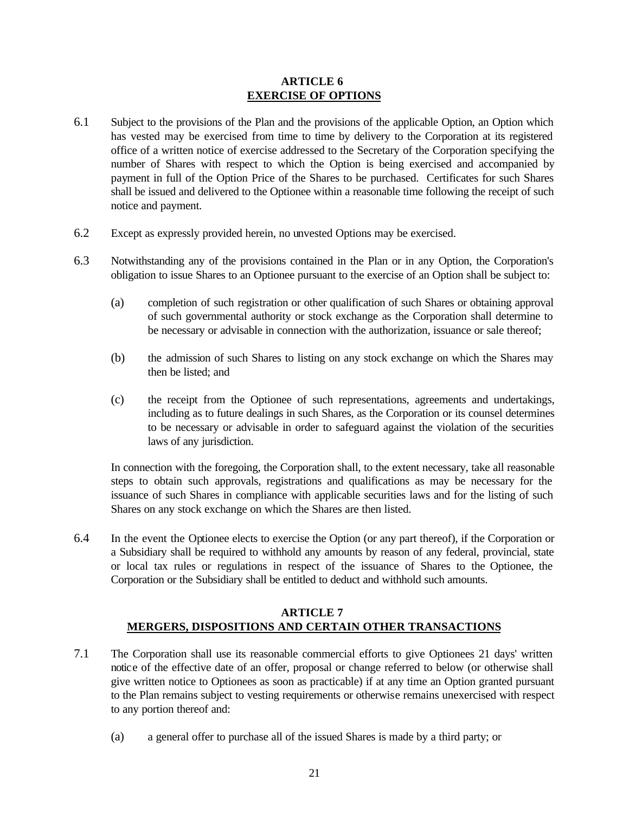## **ARTICLE 6 EXERCISE OF OPTIONS**

- 6.1 Subject to the provisions of the Plan and the provisions of the applicable Option, an Option which has vested may be exercised from time to time by delivery to the Corporation at its registered office of a written notice of exercise addressed to the Secretary of the Corporation specifying the number of Shares with respect to which the Option is being exercised and accompanied by payment in full of the Option Price of the Shares to be purchased. Certificates for such Shares shall be issued and delivered to the Optionee within a reasonable time following the receipt of such notice and payment.
- 6.2 Except as expressly provided herein, no unvested Options may be exercised.
- 6.3 Notwithstanding any of the provisions contained in the Plan or in any Option, the Corporation's obligation to issue Shares to an Optionee pursuant to the exercise of an Option shall be subject to:
	- (a) completion of such registration or other qualification of such Shares or obtaining approval of such governmental authority or stock exchange as the Corporation shall determine to be necessary or advisable in connection with the authorization, issuance or sale thereof;
	- (b) the admission of such Shares to listing on any stock exchange on which the Shares may then be listed; and
	- (c) the receipt from the Optionee of such representations, agreements and undertakings, including as to future dealings in such Shares, as the Corporation or its counsel determines to be necessary or advisable in order to safeguard against the violation of the securities laws of any jurisdiction.

In connection with the foregoing, the Corporation shall, to the extent necessary, take all reasonable steps to obtain such approvals, registrations and qualifications as may be necessary for the issuance of such Shares in compliance with applicable securities laws and for the listing of such Shares on any stock exchange on which the Shares are then listed.

6.4 In the event the Optionee elects to exercise the Option (or any part thereof), if the Corporation or a Subsidiary shall be required to withhold any amounts by reason of any federal, provincial, state or local tax rules or regulations in respect of the issuance of Shares to the Optionee, the Corporation or the Subsidiary shall be entitled to deduct and withhold such amounts.

## **ARTICLE 7 MERGERS, DISPOSITIONS AND CERTAIN OTHER TRANSACTIONS**

- 7.1 The Corporation shall use its reasonable commercial efforts to give Optionees 21 days' written notice of the effective date of an offer, proposal or change referred to below (or otherwise shall give written notice to Optionees as soon as practicable) if at any time an Option granted pursuant to the Plan remains subject to vesting requirements or otherwise remains unexercised with respect to any portion thereof and:
	- (a) a general offer to purchase all of the issued Shares is made by a third party; or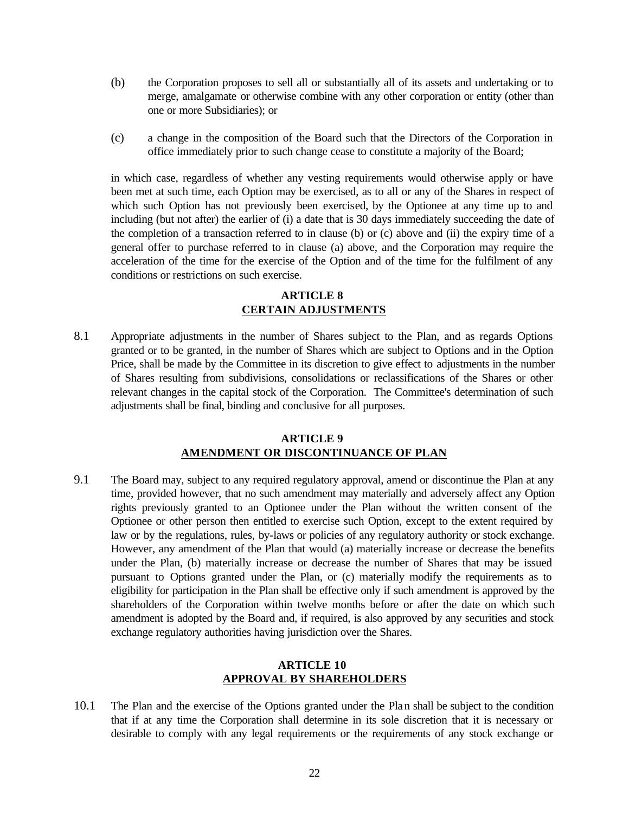- (b) the Corporation proposes to sell all or substantially all of its assets and undertaking or to merge, amalgamate or otherwise combine with any other corporation or entity (other than one or more Subsidiaries); or
- (c) a change in the composition of the Board such that the Directors of the Corporation in office immediately prior to such change cease to constitute a majority of the Board;

in which case, regardless of whether any vesting requirements would otherwise apply or have been met at such time, each Option may be exercised, as to all or any of the Shares in respect of which such Option has not previously been exercised, by the Optionee at any time up to and including (but not after) the earlier of (i) a date that is 30 days immediately succeeding the date of the completion of a transaction referred to in clause (b) or (c) above and (ii) the expiry time of a general offer to purchase referred to in clause (a) above, and the Corporation may require the acceleration of the time for the exercise of the Option and of the time for the fulfilment of any conditions or restrictions on such exercise.

## **ARTICLE 8 CERTAIN ADJUSTMENTS**

8.1 Appropriate adjustments in the number of Shares subject to the Plan, and as regards Options granted or to be granted, in the number of Shares which are subject to Options and in the Option Price, shall be made by the Committee in its discretion to give effect to adjustments in the number of Shares resulting from subdivisions, consolidations or reclassifications of the Shares or other relevant changes in the capital stock of the Corporation. The Committee's determination of such adjustments shall be final, binding and conclusive for all purposes.

## **ARTICLE 9 AMENDMENT OR DISCONTINUANCE OF PLAN**

9.1 The Board may, subject to any required regulatory approval, amend or discontinue the Plan at any time, provided however, that no such amendment may materially and adversely affect any Option rights previously granted to an Optionee under the Plan without the written consent of the Optionee or other person then entitled to exercise such Option, except to the extent required by law or by the regulations, rules, by-laws or policies of any regulatory authority or stock exchange. However, any amendment of the Plan that would (a) materially increase or decrease the benefits under the Plan, (b) materially increase or decrease the number of Shares that may be issued pursuant to Options granted under the Plan, or (c) materially modify the requirements as to eligibility for participation in the Plan shall be effective only if such amendment is approved by the shareholders of the Corporation within twelve months before or after the date on which such amendment is adopted by the Board and, if required, is also approved by any securities and stock exchange regulatory authorities having jurisdiction over the Shares.

## **ARTICLE 10 APPROVAL BY SHAREHOLDERS**

10.1 The Plan and the exercise of the Options granted under the Plan shall be subject to the condition that if at any time the Corporation shall determine in its sole discretion that it is necessary or desirable to comply with any legal requirements or the requirements of any stock exchange or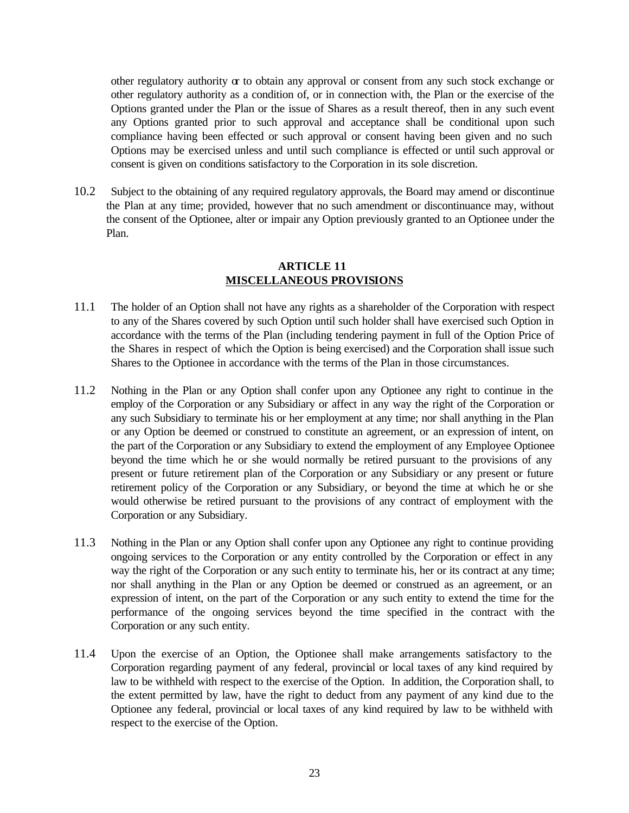other regulatory authority  $\alpha$  to obtain any approval or consent from any such stock exchange or other regulatory authority as a condition of, or in connection with, the Plan or the exercise of the Options granted under the Plan or the issue of Shares as a result thereof, then in any such event any Options granted prior to such approval and acceptance shall be conditional upon such compliance having been effected or such approval or consent having been given and no such Options may be exercised unless and until such compliance is effected or until such approval or consent is given on conditions satisfactory to the Corporation in its sole discretion.

10.2 Subject to the obtaining of any required regulatory approvals, the Board may amend or discontinue the Plan at any time; provided, however that no such amendment or discontinuance may, without the consent of the Optionee, alter or impair any Option previously granted to an Optionee under the Plan.

## **ARTICLE 11 MISCELLANEOUS PROVISIONS**

- 11.1 The holder of an Option shall not have any rights as a shareholder of the Corporation with respect to any of the Shares covered by such Option until such holder shall have exercised such Option in accordance with the terms of the Plan (including tendering payment in full of the Option Price of the Shares in respect of which the Option is being exercised) and the Corporation shall issue such Shares to the Optionee in accordance with the terms of the Plan in those circumstances.
- 11.2 Nothing in the Plan or any Option shall confer upon any Optionee any right to continue in the employ of the Corporation or any Subsidiary or affect in any way the right of the Corporation or any such Subsidiary to terminate his or her employment at any time; nor shall anything in the Plan or any Option be deemed or construed to constitute an agreement, or an expression of intent, on the part of the Corporation or any Subsidiary to extend the employment of any Employee Optionee beyond the time which he or she would normally be retired pursuant to the provisions of any present or future retirement plan of the Corporation or any Subsidiary or any present or future retirement policy of the Corporation or any Subsidiary, or beyond the time at which he or she would otherwise be retired pursuant to the provisions of any contract of employment with the Corporation or any Subsidiary.
- 11.3 Nothing in the Plan or any Option shall confer upon any Optionee any right to continue providing ongoing services to the Corporation or any entity controlled by the Corporation or effect in any way the right of the Corporation or any such entity to terminate his, her or its contract at any time; nor shall anything in the Plan or any Option be deemed or construed as an agreement, or an expression of intent, on the part of the Corporation or any such entity to extend the time for the performance of the ongoing services beyond the time specified in the contract with the Corporation or any such entity.
- 11.4 Upon the exercise of an Option, the Optionee shall make arrangements satisfactory to the Corporation regarding payment of any federal, provincial or local taxes of any kind required by law to be withheld with respect to the exercise of the Option. In addition, the Corporation shall, to the extent permitted by law, have the right to deduct from any payment of any kind due to the Optionee any federal, provincial or local taxes of any kind required by law to be withheld with respect to the exercise of the Option.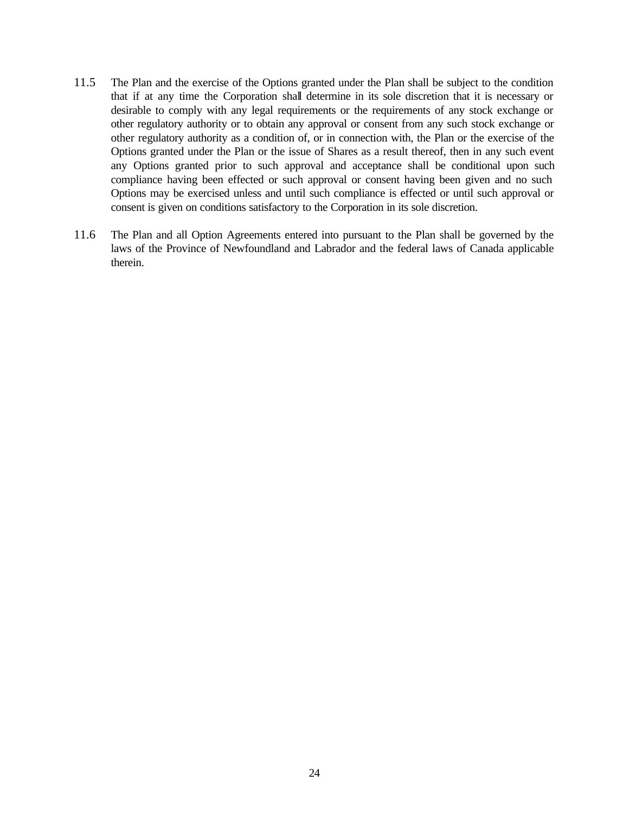- 11.5 The Plan and the exercise of the Options granted under the Plan shall be subject to the condition that if at any time the Corporation shall determine in its sole discretion that it is necessary or desirable to comply with any legal requirements or the requirements of any stock exchange or other regulatory authority or to obtain any approval or consent from any such stock exchange or other regulatory authority as a condition of, or in connection with, the Plan or the exercise of the Options granted under the Plan or the issue of Shares as a result thereof, then in any such event any Options granted prior to such approval and acceptance shall be conditional upon such compliance having been effected or such approval or consent having been given and no such Options may be exercised unless and until such compliance is effected or until such approval or consent is given on conditions satisfactory to the Corporation in its sole discretion.
- 11.6 The Plan and all Option Agreements entered into pursuant to the Plan shall be governed by the laws of the Province of Newfoundland and Labrador and the federal laws of Canada applicable therein.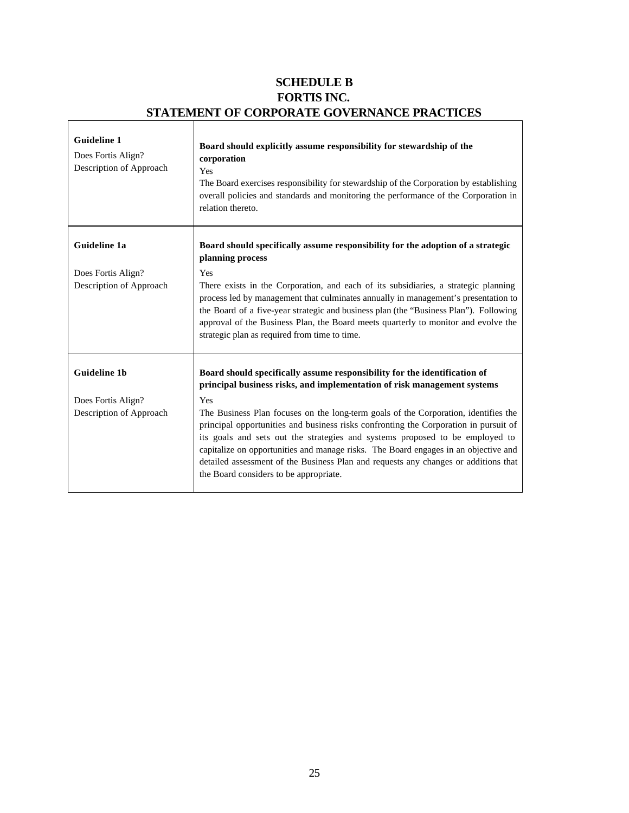## **SCHEDULE B FORTIS INC. STATEMENT OF CORPORATE GOVERNANCE PRACTICES**

 $\overline{\phantom{a}}$ 

| <b>Guideline 1</b><br>Does Fortis Align?<br>Description of Approach | Board should explicitly assume responsibility for stewardship of the<br>corporation<br>Yes<br>The Board exercises responsibility for stewardship of the Corporation by establishing<br>overall policies and standards and monitoring the performance of the Corporation in<br>relation thereto.                                                                                                                                                                                            |
|---------------------------------------------------------------------|--------------------------------------------------------------------------------------------------------------------------------------------------------------------------------------------------------------------------------------------------------------------------------------------------------------------------------------------------------------------------------------------------------------------------------------------------------------------------------------------|
| Guideline 1a                                                        | Board should specifically assume responsibility for the adoption of a strategic<br>planning process                                                                                                                                                                                                                                                                                                                                                                                        |
| Does Fortis Align?<br>Description of Approach                       | Yes<br>There exists in the Corporation, and each of its subsidiaries, a strategic planning<br>process led by management that culminates annually in management's presentation to<br>the Board of a five-year strategic and business plan (the "Business Plan"). Following<br>approval of the Business Plan, the Board meets quarterly to monitor and evolve the<br>strategic plan as required from time to time.                                                                           |
| <b>Guideline 1b</b>                                                 | Board should specifically assume responsibility for the identification of<br>principal business risks, and implementation of risk management systems                                                                                                                                                                                                                                                                                                                                       |
| Does Fortis Align?<br>Description of Approach                       | Yes<br>The Business Plan focuses on the long-term goals of the Corporation, identifies the<br>principal opportunities and business risks confronting the Corporation in pursuit of<br>its goals and sets out the strategies and systems proposed to be employed to<br>capitalize on opportunities and manage risks. The Board engages in an objective and<br>detailed assessment of the Business Plan and requests any changes or additions that<br>the Board considers to be appropriate. |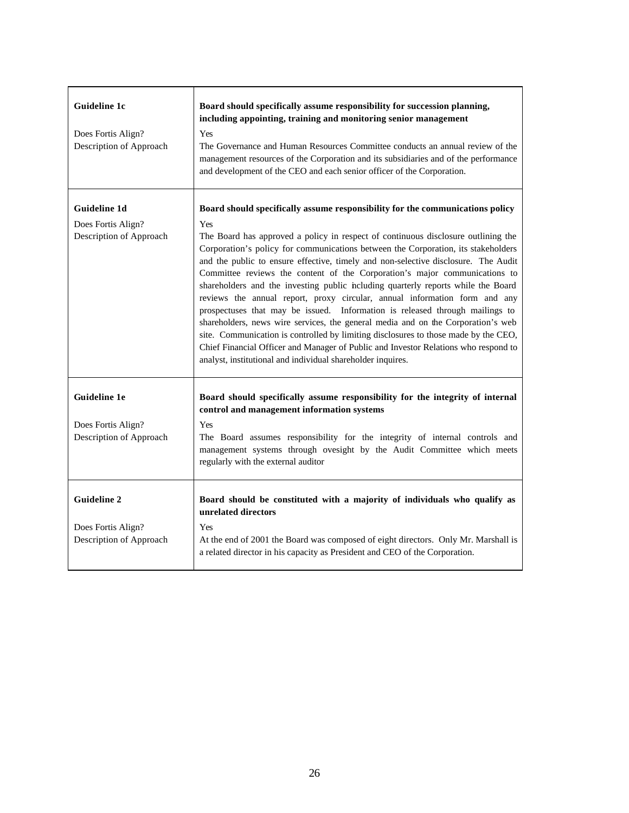| <b>Guideline 1c</b><br>Does Fortis Align?<br>Description of Approach | Board should specifically assume responsibility for succession planning,<br>including appointing, training and monitoring senior management<br>Yes<br>The Governance and Human Resources Committee conducts an annual review of the<br>management resources of the Corporation and its subsidiaries and of the performance<br>and development of the CEO and each senior officer of the Corporation.                                                                                                                                                                                                                                                                                                                                                                                                                                                                                                                                  |
|----------------------------------------------------------------------|---------------------------------------------------------------------------------------------------------------------------------------------------------------------------------------------------------------------------------------------------------------------------------------------------------------------------------------------------------------------------------------------------------------------------------------------------------------------------------------------------------------------------------------------------------------------------------------------------------------------------------------------------------------------------------------------------------------------------------------------------------------------------------------------------------------------------------------------------------------------------------------------------------------------------------------|
| Guideline 1d                                                         | Board should specifically assume responsibility for the communications policy                                                                                                                                                                                                                                                                                                                                                                                                                                                                                                                                                                                                                                                                                                                                                                                                                                                         |
| Does Fortis Align?<br>Description of Approach                        | Yes<br>The Board has approved a policy in respect of continuous disclosure outlining the<br>Corporation's policy for communications between the Corporation, its stakeholders<br>and the public to ensure effective, timely and non-selective disclosure. The Audit<br>Committee reviews the content of the Corporation's major communications to<br>shareholders and the investing public including quarterly reports while the Board<br>reviews the annual report, proxy circular, annual information form and any<br>prospectuses that may be issued. Information is released through mailings to<br>shareholders, news wire services, the general media and on the Corporation's web<br>site. Communication is controlled by limiting disclosures to those made by the CEO,<br>Chief Financial Officer and Manager of Public and Investor Relations who respond to<br>analyst, institutional and individual shareholder inquires. |
| <b>Guideline 1e</b>                                                  | Board should specifically assume responsibility for the integrity of internal<br>control and management information systems                                                                                                                                                                                                                                                                                                                                                                                                                                                                                                                                                                                                                                                                                                                                                                                                           |
| Does Fortis Align?<br>Description of Approach                        | Yes<br>The Board assumes responsibility for the integrity of internal controls and<br>management systems through ovesight by the Audit Committee which meets<br>regularly with the external auditor                                                                                                                                                                                                                                                                                                                                                                                                                                                                                                                                                                                                                                                                                                                                   |
| <b>Guideline 2</b>                                                   | Board should be constituted with a majority of individuals who qualify as<br>unrelated directors                                                                                                                                                                                                                                                                                                                                                                                                                                                                                                                                                                                                                                                                                                                                                                                                                                      |
| Does Fortis Align?<br>Description of Approach                        | Yes<br>At the end of 2001 the Board was composed of eight directors. Only Mr. Marshall is<br>a related director in his capacity as President and CEO of the Corporation.                                                                                                                                                                                                                                                                                                                                                                                                                                                                                                                                                                                                                                                                                                                                                              |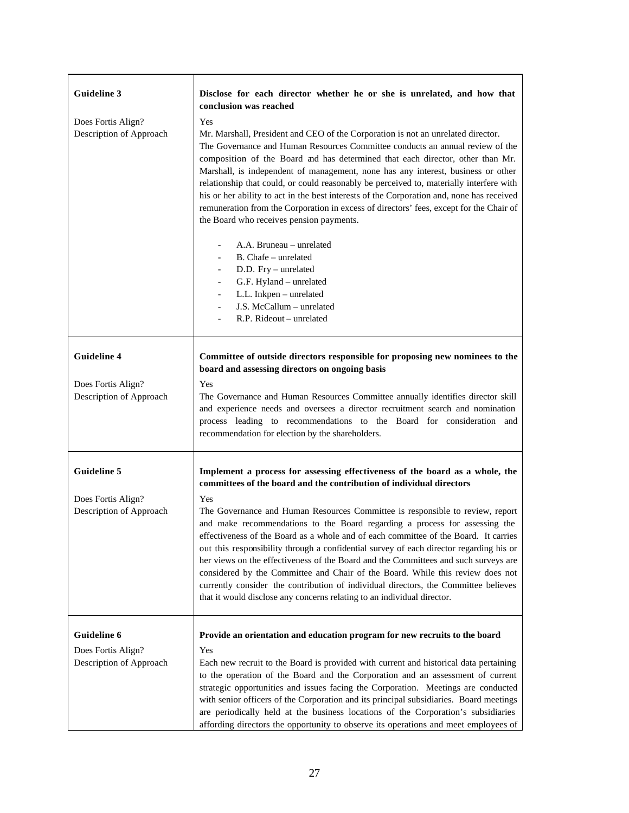| <b>Guideline 3</b>                                                  | Disclose for each director whether he or she is unrelated, and how that<br>conclusion was reached                                                                                                                                                                                                                                                                                                                                                                                                                                                                                                                                                                                                                                                                                                                                                                                                                                                                              |
|---------------------------------------------------------------------|--------------------------------------------------------------------------------------------------------------------------------------------------------------------------------------------------------------------------------------------------------------------------------------------------------------------------------------------------------------------------------------------------------------------------------------------------------------------------------------------------------------------------------------------------------------------------------------------------------------------------------------------------------------------------------------------------------------------------------------------------------------------------------------------------------------------------------------------------------------------------------------------------------------------------------------------------------------------------------|
| Does Fortis Align?<br>Description of Approach                       | Yes<br>Mr. Marshall, President and CEO of the Corporation is not an unrelated director.<br>The Governance and Human Resources Committee conducts an annual review of the<br>composition of the Board and has determined that each director, other than Mr.<br>Marshall, is independent of management, none has any interest, business or other<br>relationship that could, or could reasonably be perceived to, materially interfere with<br>his or her ability to act in the best interests of the Corporation and, none has received<br>remuneration from the Corporation in excess of directors' fees, except for the Chair of<br>the Board who receives pension payments.<br>A.A. Bruneau - unrelated<br>B. Chafe - unrelated<br>D.D. Fry - unrelated<br>$\overline{\phantom{0}}$<br>G.F. Hyland - unrelated<br>$\overline{\phantom{0}}$<br>L.L. Inkpen - unrelated<br>$\overline{\phantom{0}}$<br>J.S. McCallum - unrelated<br>$\overline{a}$<br>R.P. Rideout - unrelated |
| <b>Guideline 4</b><br>Does Fortis Align?<br>Description of Approach | Committee of outside directors responsible for proposing new nominees to the<br>board and assessing directors on ongoing basis<br>Yes<br>The Governance and Human Resources Committee annually identifies director skill<br>and experience needs and oversees a director recruitment search and nomination<br>process leading to recommendations to the Board for consideration and<br>recommendation for election by the shareholders.                                                                                                                                                                                                                                                                                                                                                                                                                                                                                                                                        |
| <b>Guideline 5</b>                                                  | Implement a process for assessing effectiveness of the board as a whole, the<br>committees of the board and the contribution of individual directors                                                                                                                                                                                                                                                                                                                                                                                                                                                                                                                                                                                                                                                                                                                                                                                                                           |
| Does Fortis Align?<br>Description of Approach                       | Yes<br>The Governance and Human Resources Committee is responsible to review, report<br>and make recommendations to the Board regarding a process for assessing the<br>effectiveness of the Board as a whole and of each committee of the Board. It carries<br>out this responsibility through a confidential survey of each director regarding his or<br>her views on the effectiveness of the Board and the Committees and such surveys are<br>considered by the Committee and Chair of the Board. While this review does not<br>currently consider the contribution of individual directors, the Committee believes<br>that it would disclose any concerns relating to an individual director.                                                                                                                                                                                                                                                                              |
| Guideline 6<br>Does Fortis Align?<br>Description of Approach        | Provide an orientation and education program for new recruits to the board<br>Yes<br>Each new recruit to the Board is provided with current and historical data pertaining<br>to the operation of the Board and the Corporation and an assessment of current<br>strategic opportunities and issues facing the Corporation. Meetings are conducted<br>with senior officers of the Corporation and its principal subsidiaries. Board meetings<br>are periodically held at the business locations of the Corporation's subsidiaries<br>affording directors the opportunity to observe its operations and meet employees of                                                                                                                                                                                                                                                                                                                                                        |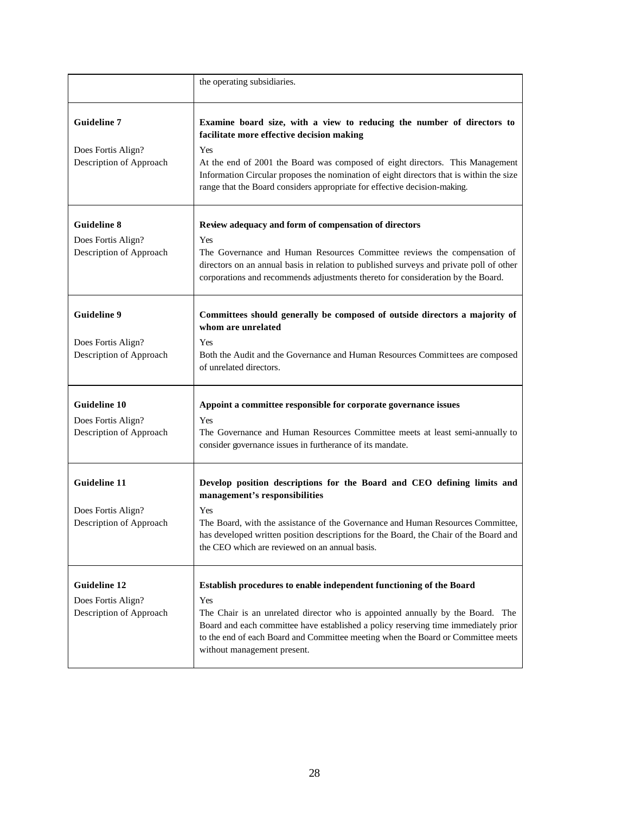|                                                                      | the operating subsidiaries.                                                                                                                                                                                                                                                                                                                                                         |
|----------------------------------------------------------------------|-------------------------------------------------------------------------------------------------------------------------------------------------------------------------------------------------------------------------------------------------------------------------------------------------------------------------------------------------------------------------------------|
| <b>Guideline 7</b><br>Does Fortis Align?<br>Description of Approach  | Examine board size, with a view to reducing the number of directors to<br>facilitate more effective decision making<br>Yes<br>At the end of 2001 the Board was composed of eight directors. This Management<br>Information Circular proposes the nomination of eight directors that is within the size<br>range that the Board considers appropriate for effective decision-making. |
| <b>Guideline 8</b><br>Does Fortis Align?<br>Description of Approach  | Review adequacy and form of compensation of directors<br><b>Yes</b><br>The Governance and Human Resources Committee reviews the compensation of<br>directors on an annual basis in relation to published surveys and private poll of other<br>corporations and recommends adjustments thereto for consideration by the Board.                                                       |
| <b>Guideline 9</b><br>Does Fortis Align?<br>Description of Approach  | Committees should generally be composed of outside directors a majority of<br>whom are unrelated<br>Yes<br>Both the Audit and the Governance and Human Resources Committees are composed<br>of unrelated directors.                                                                                                                                                                 |
| <b>Guideline 10</b><br>Does Fortis Align?<br>Description of Approach | Appoint a committee responsible for corporate governance issues<br>Yes<br>The Governance and Human Resources Committee meets at least semi-annually to<br>consider governance issues in furtherance of its mandate.                                                                                                                                                                 |
| <b>Guideline 11</b><br>Does Fortis Align?<br>Description of Approach | Develop position descriptions for the Board and CEO defining limits and<br>management's responsibilities<br>Yes<br>The Board, with the assistance of the Governance and Human Resources Committee,<br>has developed written position descriptions for the Board, the Chair of the Board and<br>the CEO which are reviewed on an annual basis.                                       |
| <b>Guideline 12</b><br>Does Fortis Align?<br>Description of Approach | Establish procedures to enable independent functioning of the Board<br>Yes<br>The Chair is an unrelated director who is appointed annually by the Board. The<br>Board and each committee have established a policy reserving time immediately prior<br>to the end of each Board and Committee meeting when the Board or Committee meets<br>without management present.              |